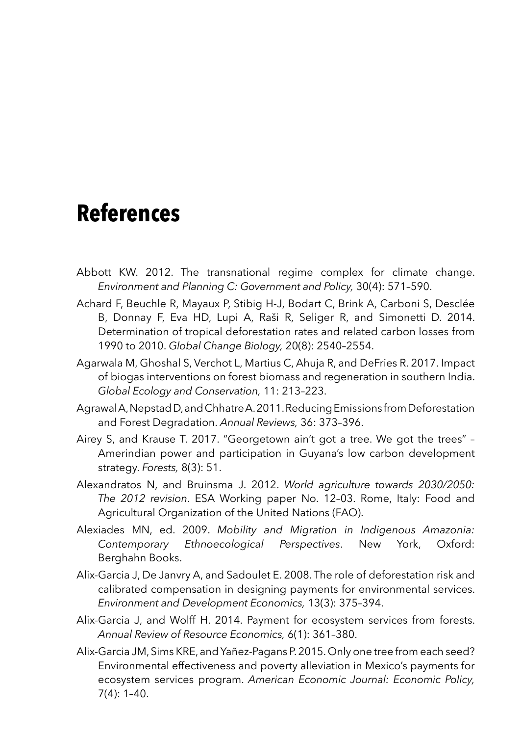## **References**

- Abbott KW. 2012. The transnational regime complex for climate change. *Environment and Planning C: Government and Policy,* 30(4): 571–590.
- Achard F, Beuchle R, Mayaux P, Stibig H-J, Bodart C, Brink A, Carboni S, Desclée B, Donnay F, Eva HD, Lupi A, Raši R, Seliger R, and Simonetti D. 2014. Determination of tropical deforestation rates and related carbon losses from 1990 to 2010. *Global Change Biology,* 20(8): 2540–2554.
- Agarwala M, Ghoshal S, Verchot L, Martius C, Ahuja R, and DeFries R. 2017. Impact of biogas interventions on forest biomass and regeneration in southern India. *Global Ecology and Conservation,* 11: 213–223.
- Agrawal A, Nepstad D, and Chhatre A. 2011. Reducing Emissions from Deforestation and Forest Degradation. *Annual Reviews,* 36: 373–396.
- Airey S, and Krause T. 2017. "Georgetown ain't got a tree. We got the trees" Amerindian power and participation in Guyana's low carbon development strategy. *Forests,* 8(3): 51.
- Alexandratos N, and Bruinsma J. 2012. *World agriculture towards 2030/2050: The 2012 revision*. ESA Working paper No. 12–03. Rome, Italy: Food and Agricultural Organization of the United Nations (FAO).
- Alexiades MN, ed. 2009. *Mobility and Migration in Indigenous Amazonia: Contemporary Ethnoecological Perspectives*. New York, Oxford: Berghahn Books.
- Alix-Garcia J, De Janvry A, and Sadoulet E. 2008. The role of deforestation risk and calibrated compensation in designing payments for environmental services. *Environment and Development Economics,* 13(3): 375–394.
- Alix-Garcia J, and Wolff H. 2014. Payment for ecosystem services from forests. *Annual Review of Resource Economics,* 6(1): 361–380.
- Alix-Garcia JM, Sims KRE, and Yañez-Pagans P. 2015. Only one tree from each seed? Environmental effectiveness and poverty alleviation in Mexico's payments for ecosystem services program. *American Economic Journal: Economic Policy,* 7(4): 1–40.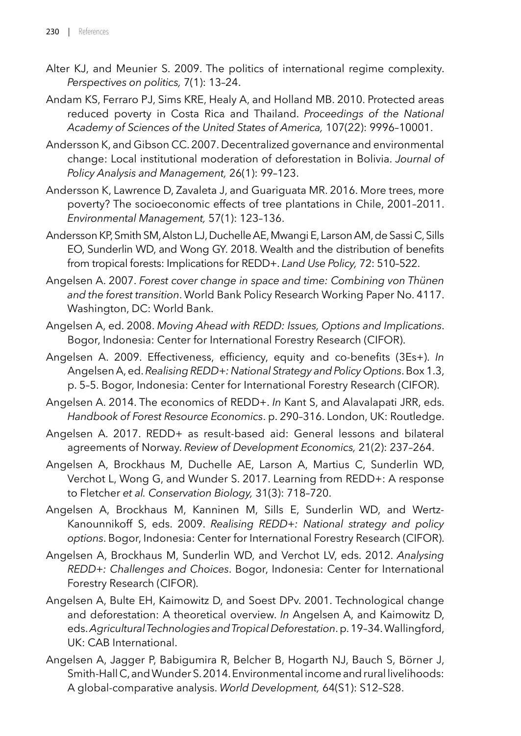- Alter KJ, and Meunier S. 2009. The politics of international regime complexity. *Perspectives on politics,* 7(1): 13–24.
- Andam KS, Ferraro PJ, Sims KRE, Healy A, and Holland MB. 2010. Protected areas reduced poverty in Costa Rica and Thailand. *Proceedings of the National Academy of Sciences of the United States of America,* 107(22): 9996–10001.
- Andersson K, and Gibson CC. 2007. Decentralized governance and environmental change: Local institutional moderation of deforestation in Bolivia. *Journal of Policy Analysis and Management,* 26(1): 99–123.
- Andersson K, Lawrence D, Zavaleta J, and Guariguata MR. 2016. More trees, more poverty? The socioeconomic effects of tree plantations in Chile, 2001–2011. *Environmental Management,* 57(1): 123–136.
- Andersson KP, Smith SM, Alston LJ, Duchelle AE, Mwangi E, Larson AM, de Sassi C, Sills EO, Sunderlin WD, and Wong GY. 2018. Wealth and the distribution of benefits from tropical forests: Implications for REDD+. *Land Use Policy,* 72: 510–522.
- Angelsen A. 2007. *Forest cover change in space and time: Combining von Thünen and the forest transition*. World Bank Policy Research Working Paper No. 4117. Washington, DC: World Bank.
- Angelsen A, ed. 2008. *Moving Ahead with REDD: Issues, Options and Implications*. Bogor, Indonesia: Center for International Forestry Research (CIFOR).
- Angelsen A. 2009. Effectiveness, efficiency, equity and co-benefits (3Es+). *In*  Angelsen A, ed. *Realising REDD+: National Strategy and Policy Options*. Box 1.3, p. 5–5. Bogor, Indonesia: Center for International Forestry Research (CIFOR).
- Angelsen A. 2014. The economics of REDD+. *In* Kant S, and Alavalapati JRR, eds. *Handbook of Forest Resource Economics*. p. 290–316. London, UK: Routledge.
- Angelsen A. 2017. REDD+ as result-based aid: General lessons and bilateral agreements of Norway. *Review of Development Economics,* 21(2): 237–264.
- Angelsen A, Brockhaus M, Duchelle AE, Larson A, Martius C, Sunderlin WD, Verchot L, Wong G, and Wunder S. 2017. Learning from REDD+: A response to Fletcher *et al. Conservation Biology,* 31(3): 718–720.
- Angelsen A, Brockhaus M, Kanninen M, Sills E, Sunderlin WD, and Wertz-Kanounnikoff S, eds. 2009. *Realising REDD+: National strategy and policy options*. Bogor, Indonesia: Center for International Forestry Research (CIFOR).
- Angelsen A, Brockhaus M, Sunderlin WD, and Verchot LV, eds. 2012. *Analysing REDD+: Challenges and Choices*. Bogor, Indonesia: Center for International Forestry Research (CIFOR).
- Angelsen A, Bulte EH, Kaimowitz D, and Soest DPv. 2001. Technological change and deforestation: A theoretical overview. *In* Angelsen A, and Kaimowitz D, eds. *Agricultural Technologies and Tropical Deforestation*. p. 19–34. Wallingford, UK: CAB International.
- Angelsen A, Jagger P, Babigumira R, Belcher B, Hogarth NJ, Bauch S, Börner J, Smith-Hall C, and Wunder S. 2014. Environmental income and rural livelihoods: A global-comparative analysis. *World Development,* 64(S1): S12–S28.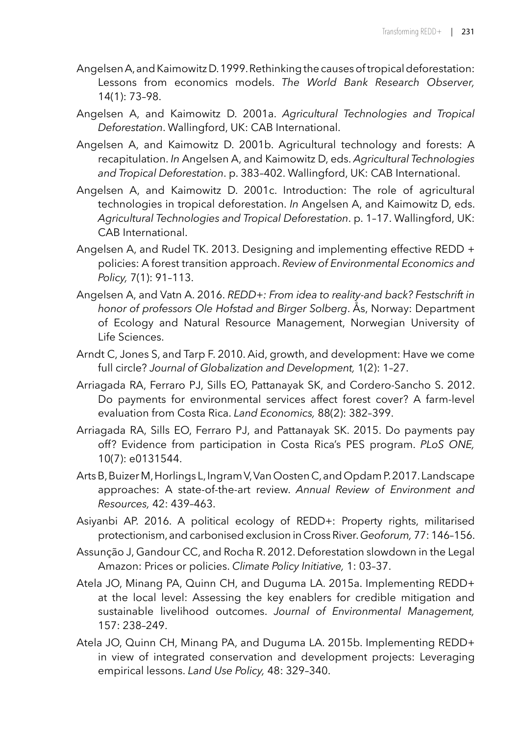- Angelsen A, and Kaimowitz D. 1999. Rethinking the causes of tropical deforestation: Lessons from economics models. *The World Bank Research Observer,* 14(1): 73–98.
- Angelsen A, and Kaimowitz D. 2001a. *Agricultural Technologies and Tropical Deforestation*. Wallingford, UK: CAB International.
- Angelsen A, and Kaimowitz D. 2001b. Agricultural technology and forests: A recapitulation. *In* Angelsen A, and Kaimowitz D, eds. *Agricultural Technologies and Tropical Deforestation*. p. 383–402. Wallingford, UK: CAB International.
- Angelsen A, and Kaimowitz D. 2001c. Introduction: The role of agricultural technologies in tropical deforestation. *In* Angelsen A, and Kaimowitz D, eds. *Agricultural Technologies and Tropical Deforestation*. p. 1–17. Wallingford, UK: CAB International.
- Angelsen A, and Rudel TK. 2013. Designing and implementing effective REDD + policies: A forest transition approach. *Review of Environmental Economics and Policy,* 7(1): 91–113.
- Angelsen A, and Vatn A. 2016. *REDD+: From idea to reality-and back? Festschrift in honor of professors Ole Hofstad and Birger Solberg*. Ås, Norway: Department of Ecology and Natural Resource Management, Norwegian University of Life Sciences.
- Arndt C, Jones S, and Tarp F. 2010. Aid, growth, and development: Have we come full circle? *Journal of Globalization and Development,* 1(2): 1–27.
- Arriagada RA, Ferraro PJ, Sills EO, Pattanayak SK, and Cordero-Sancho S. 2012. Do payments for environmental services affect forest cover? A farm-level evaluation from Costa Rica. *Land Economics,* 88(2): 382–399.
- Arriagada RA, Sills EO, Ferraro PJ, and Pattanayak SK. 2015. Do payments pay off? Evidence from participation in Costa Rica's PES program. *PLoS ONE,* 10(7): e0131544.
- Arts B, Buizer M, Horlings L, Ingram V, Van Oosten C, and Opdam P. 2017. Landscape approaches: A state-of-the-art review. *Annual Review of Environment and Resources,* 42: 439–463.
- Asiyanbi AP. 2016. A political ecology of REDD+: Property rights, militarised protectionism, and carbonised exclusion in Cross River. *Geoforum,* 77: 146–156.
- Assunção J, Gandour CC, and Rocha R. 2012. Deforestation slowdown in the Legal Amazon: Prices or policies. *Climate Policy Initiative,* 1: 03–37.
- Atela JO, Minang PA, Quinn CH, and Duguma LA. 2015a. Implementing REDD+ at the local level: Assessing the key enablers for credible mitigation and sustainable livelihood outcomes. *Journal of Environmental Management,* 157: 238–249.
- Atela JO, Quinn CH, Minang PA, and Duguma LA. 2015b. Implementing REDD+ in view of integrated conservation and development projects: Leveraging empirical lessons. *Land Use Policy,* 48: 329–340.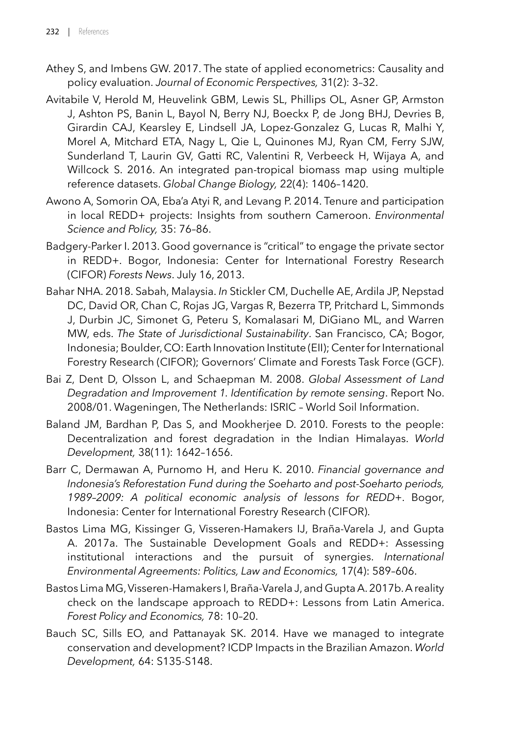- Athey S, and Imbens GW. 2017. The state of applied econometrics: Causality and policy evaluation. *Journal of Economic Perspectives,* 31(2): 3–32.
- Avitabile V, Herold M, Heuvelink GBM, Lewis SL, Phillips OL, Asner GP, Armston J, Ashton PS, Banin L, Bayol N, Berry NJ, Boeckx P, de Jong BHJ, Devries B, Girardin CAJ, Kearsley E, Lindsell JA, Lopez-Gonzalez G, Lucas R, Malhi Y, Morel A, Mitchard ETA, Nagy L, Qie L, Quinones MJ, Ryan CM, Ferry SJW, Sunderland T, Laurin GV, Gatti RC, Valentini R, Verbeeck H, Wijaya A, and Willcock S. 2016. An integrated pan-tropical biomass map using multiple reference datasets. *Global Change Biology,* 22(4): 1406–1420.
- Awono A, Somorin OA, Eba'a Atyi R, and Levang P. 2014. Tenure and participation in local REDD+ projects: Insights from southern Cameroon. *Environmental Science and Policy,* 35: 76–86.
- Badgery-Parker I. 2013. Good governance is "critical" to engage the private sector in REDD+. Bogor, Indonesia: Center for International Forestry Research (CIFOR) *Forests News*. July 16, 2013.
- Bahar NHA. 2018. Sabah, Malaysia. *In* Stickler CM, Duchelle AE, Ardila JP, Nepstad DC, David OR, Chan C, Rojas JG, Vargas R, Bezerra TP, Pritchard L, Simmonds J, Durbin JC, Simonet G, Peteru S, Komalasari M, DiGiano ML, and Warren MW, eds. *The State of Jurisdictional Sustainability*. San Francisco, CA; Bogor, Indonesia; Boulder, CO: Earth Innovation Institute (EII); Center for International Forestry Research (CIFOR); Governors' Climate and Forests Task Force (GCF).
- Bai Z, Dent D, Olsson L, and Schaepman M. 2008. *Global Assessment of Land Degradation and Improvement 1. Identification by remote sensing*. Report No. 2008/01. Wageningen, The Netherlands: ISRIC – World Soil Information.
- Baland JM, Bardhan P, Das S, and Mookherjee D. 2010. Forests to the people: Decentralization and forest degradation in the Indian Himalayas. *World Development,* 38(11): 1642–1656.
- Barr C, Dermawan A, Purnomo H, and Heru K. 2010. *Financial governance and Indonesia's Reforestation Fund during the Soeharto and post-Soeharto periods, 1989–2009: A political economic analysis of lessons for REDD+*. Bogor, Indonesia: Center for International Forestry Research (CIFOR).
- Bastos Lima MG, Kissinger G, Visseren-Hamakers IJ, Braña-Varela J, and Gupta A. 2017a. The Sustainable Development Goals and REDD+: Assessing institutional interactions and the pursuit of synergies. *International Environmental Agreements: Politics, Law and Economics,* 17(4): 589–606.
- Bastos Lima MG, Visseren-Hamakers I, Braña-Varela J, and Gupta A. 2017b. A reality check on the landscape approach to REDD+: Lessons from Latin America. *Forest Policy and Economics,* 78: 10–20.
- Bauch SC, Sills EO, and Pattanayak SK. 2014. Have we managed to integrate conservation and development? ICDP Impacts in the Brazilian Amazon. *World Development,* 64: S135-S148.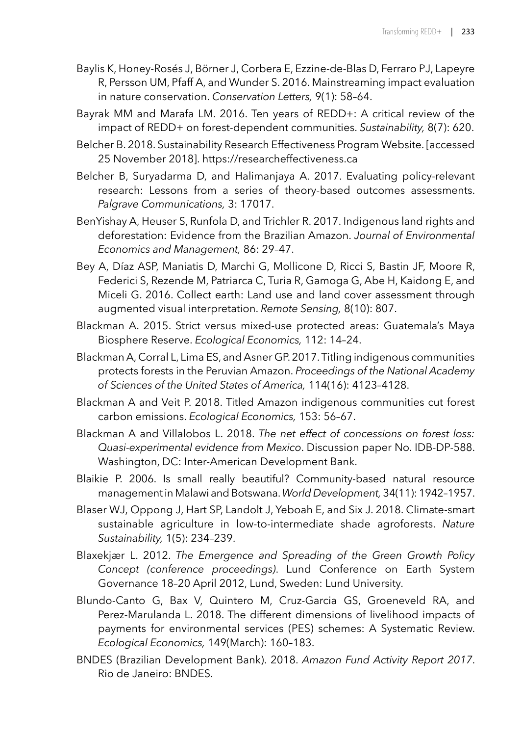- Baylis K, Honey-Rosés J, Börner J, Corbera E, Ezzine-de-Blas D, Ferraro PJ, Lapeyre R, Persson UM, Pfaff A, and Wunder S. 2016. Mainstreaming impact evaluation in nature conservation. *Conservation Letters,* 9(1): 58–64.
- Bayrak MM and Marafa LM. 2016. Ten years of REDD+: A critical review of the impact of REDD+ on forest-dependent communities. *Sustainability,* 8(7): 620.
- Belcher B. 2018. Sustainability Research Effectiveness Program Website. [accessed 25 November 2018].<https://researcheffectiveness.ca>
- Belcher B, Suryadarma D, and Halimanjaya A. 2017. Evaluating policy-relevant research: Lessons from a series of theory-based outcomes assessments. *Palgrave Communications,* 3: 17017.
- BenYishay A, Heuser S, Runfola D, and Trichler R. 2017. Indigenous land rights and deforestation: Evidence from the Brazilian Amazon. *Journal of Environmental Economics and Management,* 86: 29–47.
- Bey A, Díaz ASP, Maniatis D, Marchi G, Mollicone D, Ricci S, Bastin JF, Moore R, Federici S, Rezende M, Patriarca C, Turia R, Gamoga G, Abe H, Kaidong E, and Miceli G. 2016. Collect earth: Land use and land cover assessment through augmented visual interpretation. *Remote Sensing,* 8(10): 807.
- Blackman A. 2015. Strict versus mixed-use protected areas: Guatemala's Maya Biosphere Reserve. *Ecological Economics,* 112: 14–24.
- Blackman A, Corral L, Lima ES, and Asner GP. 2017. Titling indigenous communities protects forests in the Peruvian Amazon. *Proceedings of the National Academy of Sciences of the United States of America,* 114(16): 4123–4128.
- Blackman A and Veit P. 2018. Titled Amazon indigenous communities cut forest carbon emissions. *Ecological Economics,* 153: 56–67.
- Blackman A and Villalobos L. 2018. *The net effect of concessions on forest loss: Quasi-experimental evidence from Mexico*. Discussion paper No. IDB-DP-588. Washington, DC: Inter-American Development Bank.
- Blaikie P. 2006. Is small really beautiful? Community-based natural resource management in Malawi and Botswana. *World Development,* 34(11): 1942–1957.
- Blaser WJ, Oppong J, Hart SP, Landolt J, Yeboah E, and Six J. 2018. Climate-smart sustainable agriculture in low-to-intermediate shade agroforests. *Nature Sustainability,* 1(5): 234–239.
- Blaxekjær L. 2012. *The Emergence and Spreading of the Green Growth Policy Concept (conference proceedings)*. Lund Conference on Earth System Governance 18–20 April 2012, Lund, Sweden: Lund University.
- Blundo-Canto G, Bax V, Quintero M, Cruz-Garcia GS, Groeneveld RA, and Perez-Marulanda L. 2018. The different dimensions of livelihood impacts of payments for environmental services (PES) schemes: A Systematic Review. *Ecological Economics,* 149(March): 160–183.
- BNDES (Brazilian Development Bank). 2018. *Amazon Fund Activity Report 2017*. Rio de Janeiro: BNDES.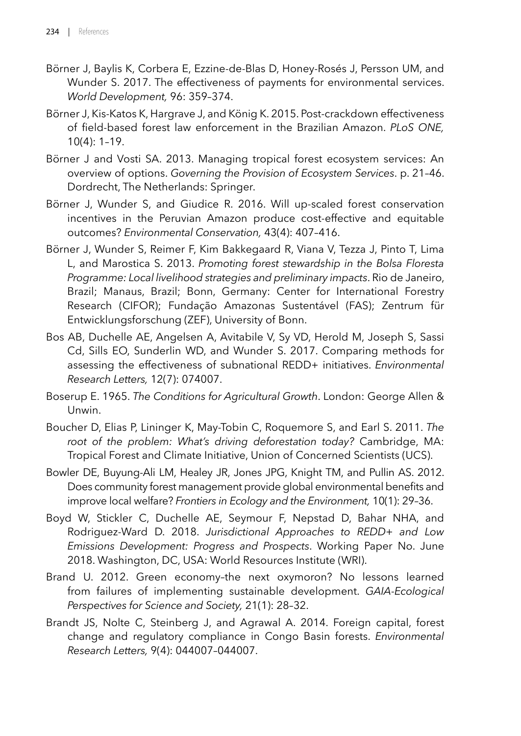- Börner J, Baylis K, Corbera E, Ezzine-de-Blas D, Honey-Rosés J, Persson UM, and Wunder S. 2017. The effectiveness of payments for environmental services. *World Development,* 96: 359–374.
- Börner J, Kis-Katos K, Hargrave J, and König K. 2015. Post-crackdown effectiveness of field-based forest law enforcement in the Brazilian Amazon. *PLoS ONE,* 10(4): 1–19.
- Börner J and Vosti SA. 2013. Managing tropical forest ecosystem services: An overview of options. *Governing the Provision of Ecosystem Services*. p. 21–46. Dordrecht, The Netherlands: Springer.
- Börner J, Wunder S, and Giudice R. 2016. Will up-scaled forest conservation incentives in the Peruvian Amazon produce cost-effective and equitable outcomes? *Environmental Conservation,* 43(4): 407–416.
- Börner J, Wunder S, Reimer F, Kim Bakkegaard R, Viana V, Tezza J, Pinto T, Lima L, and Marostica S. 2013. *Promoting forest stewardship in the Bolsa Floresta Programme: Local livelihood strategies and preliminary impacts*. Rio de Janeiro, Brazil; Manaus, Brazil; Bonn, Germany: Center for International Forestry Research (CIFOR); Fundação Amazonas Sustentável (FAS); Zentrum für Entwicklungsforschung (ZEF), University of Bonn.
- Bos AB, Duchelle AE, Angelsen A, Avitabile V, Sy VD, Herold M, Joseph S, Sassi Cd, Sills EO, Sunderlin WD, and Wunder S. 2017. Comparing methods for assessing the effectiveness of subnational REDD+ initiatives. *Environmental Research Letters,* 12(7): 074007.
- Boserup E. 1965. *The Conditions for Agricultural Growth*. London: George Allen & Unwin.
- Boucher D, Elias P, Lininger K, May-Tobin C, Roquemore S, and Earl S. 2011. *The root of the problem: What's driving deforestation today?* Cambridge, MA: Tropical Forest and Climate Initiative, Union of Concerned Scientists (UCS).
- Bowler DE, Buyung-Ali LM, Healey JR, Jones JPG, Knight TM, and Pullin AS. 2012. Does community forest management provide global environmental benefits and improve local welfare? *Frontiers in Ecology and the Environment,* 10(1): 29–36.
- Boyd W, Stickler C, Duchelle AE, Seymour F, Nepstad D, Bahar NHA, and Rodriguez-Ward D. 2018. *Jurisdictional Approaches to REDD+ and Low Emissions Development: Progress and Prospects*. Working Paper No. June 2018. Washington, DC, USA: World Resources Institute (WRI).
- Brand U. 2012. Green economy–the next oxymoron? No lessons learned from failures of implementing sustainable development. *GAIA-Ecological Perspectives for Science and Society,* 21(1): 28–32.
- Brandt JS, Nolte C, Steinberg J, and Agrawal A. 2014. Foreign capital, forest change and regulatory compliance in Congo Basin forests. *Environmental Research Letters,* 9(4): 044007–044007.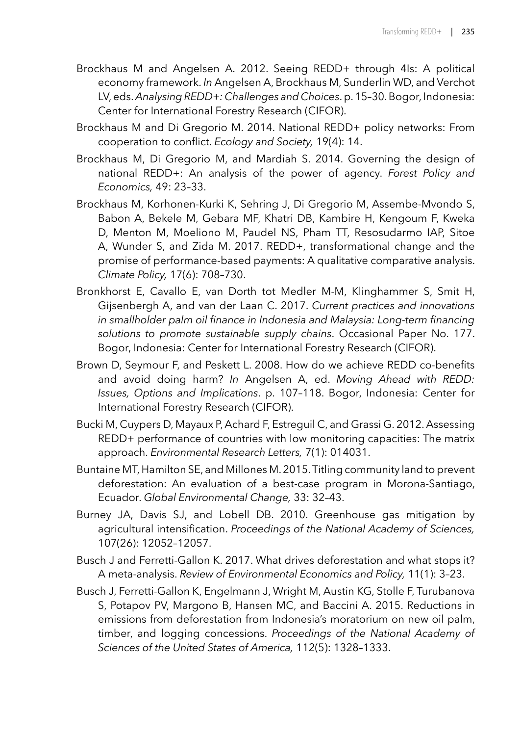- Brockhaus M and Angelsen A. 2012. Seeing REDD+ through 4Is: A political economy framework. *In* Angelsen A, Brockhaus M, Sunderlin WD, and Verchot LV, eds. *Analysing REDD+: Challenges and Choices*. p. 15–30. Bogor, Indonesia: Center for International Forestry Research (CIFOR).
- Brockhaus M and Di Gregorio M. 2014. National REDD+ policy networks: From cooperation to conflict. *Ecology and Society,* 19(4): 14.
- Brockhaus M, Di Gregorio M, and Mardiah S. 2014. Governing the design of national REDD+: An analysis of the power of agency. *Forest Policy and Economics,* 49: 23–33.
- Brockhaus M, Korhonen-Kurki K, Sehring J, Di Gregorio M, Assembe-Mvondo S, Babon A, Bekele M, Gebara MF, Khatri DB, Kambire H, Kengoum F, Kweka D, Menton M, Moeliono M, Paudel NS, Pham TT, Resosudarmo IAP, Sitoe A, Wunder S, and Zida M. 2017. REDD+, transformational change and the promise of performance-based payments: A qualitative comparative analysis. *Climate Policy,* 17(6): 708–730.
- Bronkhorst E, Cavallo E, van Dorth tot Medler M-M, Klinghammer S, Smit H, Gijsenbergh A, and van der Laan C. 2017. *Current practices and innovations in smallholder palm oil finance in Indonesia and Malaysia: Long-term financing solutions to promote sustainable supply chains*. Occasional Paper No. 177. Bogor, Indonesia: Center for International Forestry Research (CIFOR).
- Brown D, Seymour F, and Peskett L. 2008. How do we achieve REDD co-benefits and avoid doing harm? *In* Angelsen A, ed. *Moving Ahead with REDD: Issues, Options and Implications*. p. 107–118. Bogor, Indonesia: Center for International Forestry Research (CIFOR).
- Bucki M, Cuypers D, Mayaux P, Achard F, Estreguil C, and Grassi G. 2012. Assessing REDD+ performance of countries with low monitoring capacities: The matrix approach. *Environmental Research Letters,* 7(1): 014031.
- Buntaine MT, Hamilton SE, and Millones M. 2015. Titling community land to prevent deforestation: An evaluation of a best-case program in Morona-Santiago, Ecuador. *Global Environmental Change,* 33: 32–43.
- Burney JA, Davis SJ, and Lobell DB. 2010. Greenhouse gas mitigation by agricultural intensification. *Proceedings of the National Academy of Sciences,* 107(26): 12052–12057.
- Busch J and Ferretti-Gallon K. 2017. What drives deforestation and what stops it? A meta-analysis. *Review of Environmental Economics and Policy,* 11(1): 3–23.
- Busch J, Ferretti-Gallon K, Engelmann J, Wright M, Austin KG, Stolle F, Turubanova S, Potapov PV, Margono B, Hansen MC, and Baccini A. 2015. Reductions in emissions from deforestation from Indonesia's moratorium on new oil palm, timber, and logging concessions. *Proceedings of the National Academy of Sciences of the United States of America,* 112(5): 1328–1333.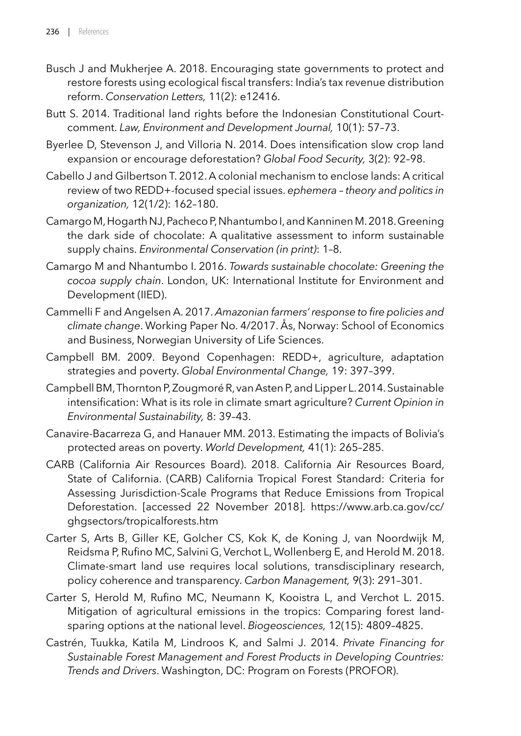- Busch J and Mukherjee A. 2018. Encouraging state governments to protect and restore forests using ecological fiscal transfers: India's tax revenue distribution reform. *Conservation Letters,* 11(2): e12416.
- Butt S. 2014. Traditional land rights before the Indonesian Constitutional Courtcomment. *Law, Environment and Development Journal,* 10(1): 57–73.
- Byerlee D, Stevenson J, and Villoria N. 2014. Does intensification slow crop land expansion or encourage deforestation? *Global Food Security,* 3(2): 92–98.
- Cabello J and Gilbertson T. 2012. A colonial mechanism to enclose lands: A critical review of two REDD+-focused special issues. *ephemera – theory and politics in organization,* 12(1/2): 162–180.
- Camargo M, Hogarth NJ, Pacheco P, Nhantumbo I, and Kanninen M. 2018. Greening the dark side of chocolate: A qualitative assessment to inform sustainable supply chains. *Environmental Conservation (in print)*: 1–8.
- Camargo M and Nhantumbo I. 2016. *Towards sustainable chocolate: Greening the cocoa supply chain*. London, UK: International Institute for Environment and Development (IIED).
- Cammelli F and Angelsen A. 2017. *Amazonian farmers' response to fire policies and climate change*. Working Paper No. 4/2017. Ås, Norway: School of Economics and Business, Norwegian University of Life Sciences.
- Campbell BM. 2009. Beyond Copenhagen: REDD+, agriculture, adaptation strategies and poverty. *Global Environmental Change,* 19: 397–399.
- Campbell BM, Thornton P, Zougmoré R, van Asten P, and Lipper L. 2014. Sustainable intensification: What is its role in climate smart agriculture? *Current Opinion in Environmental Sustainability,* 8: 39–43.
- Canavire-Bacarreza G, and Hanauer MM. 2013. Estimating the impacts of Bolivia's protected areas on poverty. *World Development,* 41(1): 265–285.
- CARB (California Air Resources Board). 2018. California Air Resources Board, State of California. (CARB) California Tropical Forest Standard: Criteria for Assessing Jurisdiction-Scale Programs that Reduce Emissions from Tropical Deforestation. [accessed 22 November 2018]. [https://www.arb.ca.gov/cc/](https://www.arb.ca.gov/cc/ghgsectors/tropicalforests.htm) [ghgsectors/tropicalforests.htm](https://www.arb.ca.gov/cc/ghgsectors/tropicalforests.htm)
- Carter S, Arts B, Giller KE, Golcher CS, Kok K, de Koning J, van Noordwijk M, Reidsma P, Rufino MC, Salvini G, Verchot L, Wollenberg E, and Herold M. 2018. Climate-smart land use requires local solutions, transdisciplinary research, policy coherence and transparency. *Carbon Management,* 9(3): 291–301.
- Carter S, Herold M, Rufino MC, Neumann K, Kooistra L, and Verchot L. 2015. Mitigation of agricultural emissions in the tropics: Comparing forest landsparing options at the national level. *Biogeosciences,* 12(15): 4809–4825.
- Castrén, Tuukka, Katila M, Lindroos K, and Salmi J. 2014. *Private Financing for Sustainable Forest Management and Forest Products in Developing Countries: Trends and Drivers*. Washington, DC: Program on Forests (PROFOR).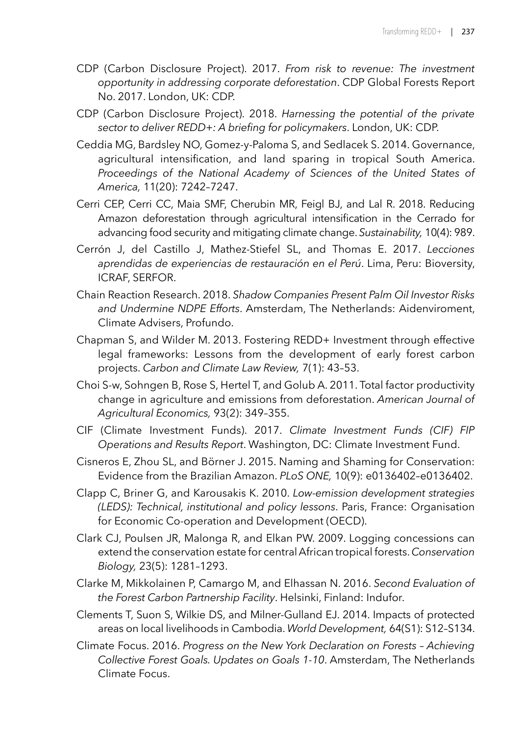- CDP (Carbon Disclosure Project). 2017. *From risk to revenue: The investment opportunity in addressing corporate deforestation*. CDP Global Forests Report No. 2017. London, UK: CDP.
- CDP (Carbon Disclosure Project). 2018. *Harnessing the potential of the private sector to deliver REDD+: A briefing for policymakers*. London, UK: CDP.
- Ceddia MG, Bardsley NO, Gomez-y-Paloma S, and Sedlacek S. 2014. Governance, agricultural intensification, and land sparing in tropical South America. *Proceedings of the National Academy of Sciences of the United States of America,* 11(20): 7242–7247.
- Cerri CEP, Cerri CC, Maia SMF, Cherubin MR, Feigl BJ, and Lal R. 2018. Reducing Amazon deforestation through agricultural intensification in the Cerrado for advancing food security and mitigating climate change. *Sustainability,* 10(4): 989.
- Cerrón J, del Castillo J, Mathez-Stiefel SL, and Thomas E. 2017. *Lecciones aprendidas de experiencias de restauración en el Perú*. Lima, Peru: Bioversity, ICRAF, SERFOR.
- Chain Reaction Research. 2018. *Shadow Companies Present Palm Oil Investor Risks and Undermine NDPE Efforts*. Amsterdam, The Netherlands: Aidenviroment, Climate Advisers, Profundo.
- Chapman S, and Wilder M. 2013. Fostering REDD+ Investment through effective legal frameworks: Lessons from the development of early forest carbon projects. *Carbon and Climate Law Review,* 7(1): 43–53.
- Choi S-w, Sohngen B, Rose S, Hertel T, and Golub A. 2011. Total factor productivity change in agriculture and emissions from deforestation. *American Journal of Agricultural Economics,* 93(2): 349–355.
- CIF (Climate Investment Funds). 2017. *Climate Investment Funds (CIF) FIP Operations and Results Report*. Washington, DC: Climate Investment Fund.
- Cisneros E, Zhou SL, and Börner J. 2015. Naming and Shaming for Conservation: Evidence from the Brazilian Amazon. *PLoS ONE,* 10(9): e0136402–e0136402.
- Clapp C, Briner G, and Karousakis K. 2010. *Low-emission development strategies (LEDS): Technical, institutional and policy lessons*. Paris, France: Organisation for Economic Co-operation and Development (OECD).
- Clark CJ, Poulsen JR, Malonga R, and Elkan PW. 2009. Logging concessions can extend the conservation estate for central African tropical forests. *Conservation Biology,* 23(5): 1281–1293.
- Clarke M, Mikkolainen P, Camargo M, and Elhassan N. 2016. *Second Evaluation of the Forest Carbon Partnership Facility*. Helsinki, Finland: Indufor.
- Clements T, Suon S, Wilkie DS, and Milner-Gulland EJ. 2014. Impacts of protected areas on local livelihoods in Cambodia. *World Development,* 64(S1): S12–S134.
- Climate Focus. 2016. *Progress on the New York Declaration on Forests Achieving Collective Forest Goals. Updates on Goals 1-10*. Amsterdam, The Netherlands Climate Focus.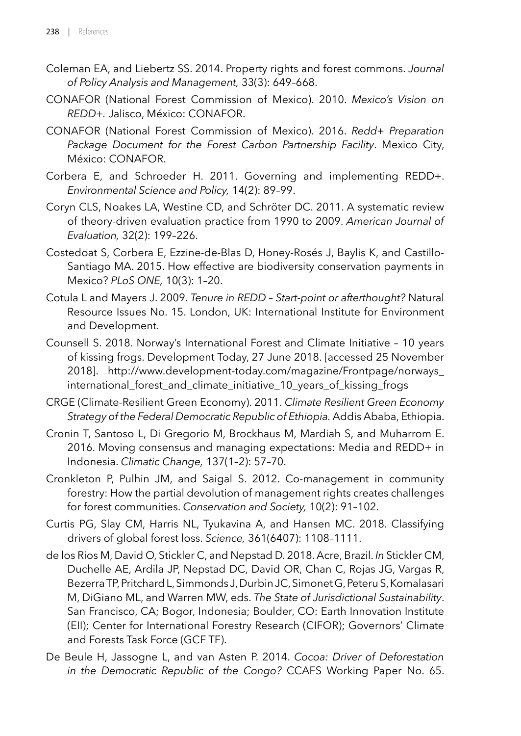- Coleman EA, and Liebertz SS. 2014. Property rights and forest commons. *Journal of Policy Analysis and Management,* 33(3): 649–668.
- CONAFOR (National Forest Commission of Mexico). 2010. *Mexico's Vision on REDD+.* Jalisco, México: CONAFOR.
- CONAFOR (National Forest Commission of Mexico). 2016. *Redd+ Preparation Package Document for the Forest Carbon Partnership Facility*. Mexico City, México: CONAFOR.
- Corbera E, and Schroeder H. 2011. Governing and implementing REDD+. *Environmental Science and Policy,* 14(2): 89–99.
- Coryn CLS, Noakes LA, Westine CD, and Schröter DC. 2011. A systematic review of theory-driven evaluation practice from 1990 to 2009. *American Journal of Evaluation,* 32(2): 199–226.
- Costedoat S, Corbera E, Ezzine-de-Blas D, Honey-Rosés J, Baylis K, and Castillo-Santiago MA. 2015. How effective are biodiversity conservation payments in Mexico? *PLoS ONE,* 10(3): 1–20.
- Cotula L and Mayers J. 2009. *Tenure in REDD Start-point or afterthought?* Natural Resource Issues No. 15. London, UK: International Institute for Environment and Development.
- Counsell S. 2018. Norway's International Forest and Climate Initiative 10 years of kissing frogs. Development Today, 27 June 2018. [accessed 25 November 2018]. [http://www.development-today.com/magazine/Frontpage/norways\\_](http://www.development-today.com/magazine/Frontpage/norways_international_forest_and_climate_initiative_10_years_of_kissing_frogs) international forest and climate initiative 10 years of kissing frogs
- CRGE (Climate-Resilient Green Economy). 2011. *Climate Resilient Green Economy Strategy of the Federal Democratic Republic of Ethiopia.* Addis Ababa, Ethiopia.
- Cronin T, Santoso L, Di Gregorio M, Brockhaus M, Mardiah S, and Muharrom E. 2016. Moving consensus and managing expectations: Media and REDD+ in Indonesia. *Climatic Change,* 137(1–2): 57–70.
- Cronkleton P, Pulhin JM, and Saigal S. 2012. Co-management in community forestry: How the partial devolution of management rights creates challenges for forest communities. *Conservation and Society,* 10(2): 91–102.
- Curtis PG, Slay CM, Harris NL, Tyukavina A, and Hansen MC. 2018. Classifying drivers of global forest loss. *Science,* 361(6407): 1108–1111.
- de los Rios M, David O, Stickler C, and Nepstad D. 2018. Acre, Brazil. *In* Stickler CM, Duchelle AE, Ardila JP, Nepstad DC, David OR, Chan C, Rojas JG, Vargas R, Bezerra TP, Pritchard L, Simmonds J, Durbin JC, Simonet G, Peteru S, Komalasari M, DiGiano ML, and Warren MW, eds. *The State of Jurisdictional Sustainability*. San Francisco, CA; Bogor, Indonesia; Boulder, CO: Earth Innovation Institute (EII); Center for International Forestry Research (CIFOR); Governors' Climate and Forests Task Force (GCF TF).
- De Beule H, Jassogne L, and van Asten P. 2014. *Cocoa: Driver of Deforestation in the Democratic Republic of the Congo?* CCAFS Working Paper No. 65.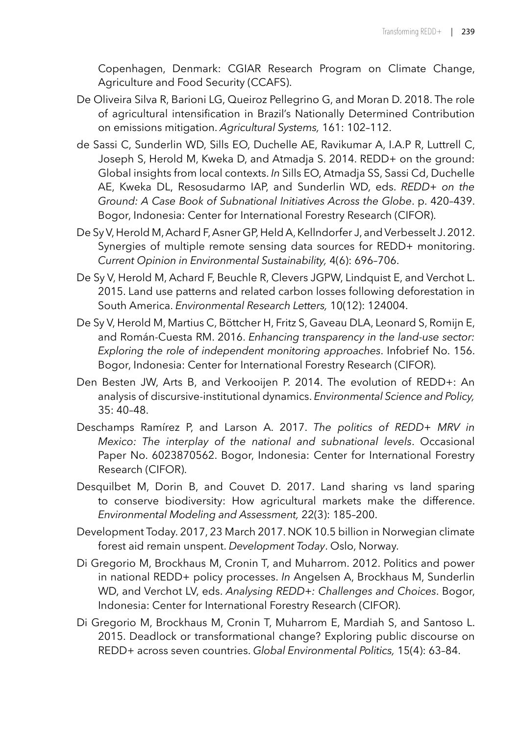Copenhagen, Denmark: CGIAR Research Program on Climate Change, Agriculture and Food Security (CCAFS).

- De Oliveira Silva R, Barioni LG, Queiroz Pellegrino G, and Moran D. 2018. The role of agricultural intensification in Brazil's Nationally Determined Contribution on emissions mitigation. *Agricultural Systems,* 161: 102–112.
- de Sassi C, Sunderlin WD, Sills EO, Duchelle AE, Ravikumar A, I.A.P R, Luttrell C, Joseph S, Herold M, Kweka D, and Atmadja S. 2014. REDD+ on the ground: Global insights from local contexts. *In* Sills EO, Atmadja SS, Sassi Cd, Duchelle AE, Kweka DL, Resosudarmo IAP, and Sunderlin WD, eds. *REDD+ on the Ground: A Case Book of Subnational Initiatives Across the Globe*. p. 420–439. Bogor, Indonesia: Center for International Forestry Research (CIFOR).
- De Sy V, Herold M, Achard F, Asner GP, Held A, Kellndorfer J, and Verbesselt J. 2012. Synergies of multiple remote sensing data sources for REDD+ monitoring. *Current Opinion in Environmental Sustainability,* 4(6): 696–706.
- De Sy V, Herold M, Achard F, Beuchle R, Clevers JGPW, Lindquist E, and Verchot L. 2015. Land use patterns and related carbon losses following deforestation in South America. *Environmental Research Letters,* 10(12): 124004.
- De Sy V, Herold M, Martius C, Böttcher H, Fritz S, Gaveau DLA, Leonard S, Romijn E, and Román-Cuesta RM. 2016. *Enhancing transparency in the land-use sector: Exploring the role of independent monitoring approaches*. Infobrief No. 156. Bogor, Indonesia: Center for International Forestry Research (CIFOR).
- Den Besten JW, Arts B, and Verkooijen P. 2014. The evolution of REDD+: An analysis of discursive-institutional dynamics. *Environmental Science and Policy,* 35: 40–48.
- Deschamps Ramírez P, and Larson A. 2017. *The politics of REDD+ MRV in Mexico: The interplay of the national and subnational levels*. Occasional Paper No. 6023870562. Bogor, Indonesia: Center for International Forestry Research (CIFOR).
- Desquilbet M, Dorin B, and Couvet D. 2017. Land sharing vs land sparing to conserve biodiversity: How agricultural markets make the difference. *Environmental Modeling and Assessment,* 22(3): 185–200.
- Development Today. 2017, 23 March 2017. NOK 10.5 billion in Norwegian climate forest aid remain unspent. *Development Today*. Oslo, Norway.
- Di Gregorio M, Brockhaus M, Cronin T, and Muharrom. 2012. Politics and power in national REDD+ policy processes. *In* Angelsen A, Brockhaus M, Sunderlin WD, and Verchot LV, eds. *Analysing REDD+: Challenges and Choices*. Bogor, Indonesia: Center for International Forestry Research (CIFOR).
- Di Gregorio M, Brockhaus M, Cronin T, Muharrom E, Mardiah S, and Santoso L. 2015. Deadlock or transformational change? Exploring public discourse on REDD+ across seven countries. *Global Environmental Politics,* 15(4): 63–84.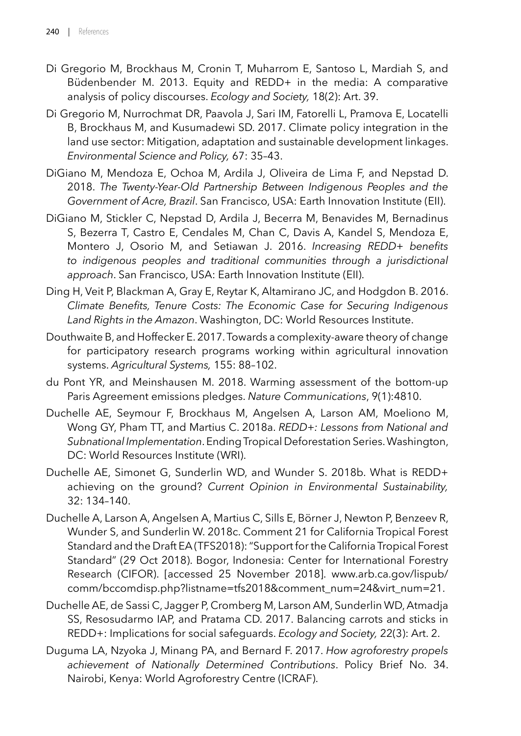- Di Gregorio M, Brockhaus M, Cronin T, Muharrom E, Santoso L, Mardiah S, and Büdenbender M. 2013. Equity and REDD+ in the media: A comparative analysis of policy discourses. *Ecology and Society,* 18(2): Art. 39.
- Di Gregorio M, Nurrochmat DR, Paavola J, Sari IM, Fatorelli L, Pramova E, Locatelli B, Brockhaus M, and Kusumadewi SD. 2017. Climate policy integration in the land use sector: Mitigation, adaptation and sustainable development linkages. *Environmental Science and Policy,* 67: 35–43.
- DiGiano M, Mendoza E, Ochoa M, Ardila J, Oliveira de Lima F, and Nepstad D. 2018. *The Twenty-Year-Old Partnership Between Indigenous Peoples and the Government of Acre, Brazil*. San Francisco, USA: Earth Innovation Institute (EII).
- DiGiano M, Stickler C, Nepstad D, Ardila J, Becerra M, Benavides M, Bernadinus S, Bezerra T, Castro E, Cendales M, Chan C, Davis A, Kandel S, Mendoza E, Montero J, Osorio M, and Setiawan J. 2016. *Increasing REDD+ benefits*  to indigenous peoples and traditional communities through a jurisdictional *approach*. San Francisco, USA: Earth Innovation Institute (EII).
- Ding H, Veit P, Blackman A, Gray E, Reytar K, Altamirano JC, and Hodgdon B. 2016. *Climate Benefits, Tenure Costs: The Economic Case for Securing Indigenous Land Rights in the Amazon*. Washington, DC: World Resources Institute.
- Douthwaite B, and Hoffecker E. 2017. Towards a complexity-aware theory of change for participatory research programs working within agricultural innovation systems. *Agricultural Systems,* 155: 88–102.
- du Pont YR, and Meinshausen M. 2018. Warming assessment of the bottom-up Paris Agreement emissions pledges. *Nature Communications*, 9(1):4810.
- Duchelle AE, Seymour F, Brockhaus M, Angelsen A, Larson AM, Moeliono M, Wong GY, Pham TT, and Martius C. 2018a. *REDD+: Lessons from National and Subnational Implementation*. Ending Tropical Deforestation Series. Washington, DC: World Resources Institute (WRI).
- Duchelle AE, Simonet G, Sunderlin WD, and Wunder S. 2018b. What is REDD+ achieving on the ground? *Current Opinion in Environmental Sustainability,* 32: 134–140.
- Duchelle A, Larson A, Angelsen A, Martius C, Sills E, Börner J, Newton P, Benzeev R, Wunder S, and Sunderlin W. 2018c. Comment 21 for California Tropical Forest Standard and the Draft EA (TFS2018): "Support for the California Tropical Forest Standard" (29 Oct 2018). Bogor, Indonesia: Center for International Forestry Research (CIFOR). [accessed 25 November 2018]. [www.arb.ca.gov/lispub/](http://www.arb.ca.gov/lispub/comm/bccomdisp.php?listname=tfs2018&comment_num=24&virt_num=21) [comm/bccomdisp.php?listname=tfs2018&comment\\_num=24&virt\\_num=21](http://www.arb.ca.gov/lispub/comm/bccomdisp.php?listname=tfs2018&comment_num=24&virt_num=21).
- Duchelle AE, de Sassi C, Jagger P, Cromberg M, Larson AM, Sunderlin WD, Atmadja SS, Resosudarmo IAP, and Pratama CD. 2017. Balancing carrots and sticks in REDD+: Implications for social safeguards. *Ecology and Society,* 22(3): Art. 2.
- Duguma LA, Nzyoka J, Minang PA, and Bernard F. 2017. *How agroforestry propels achievement of Nationally Determined Contributions*. Policy Brief No. 34. Nairobi, Kenya: World Agroforestry Centre (ICRAF).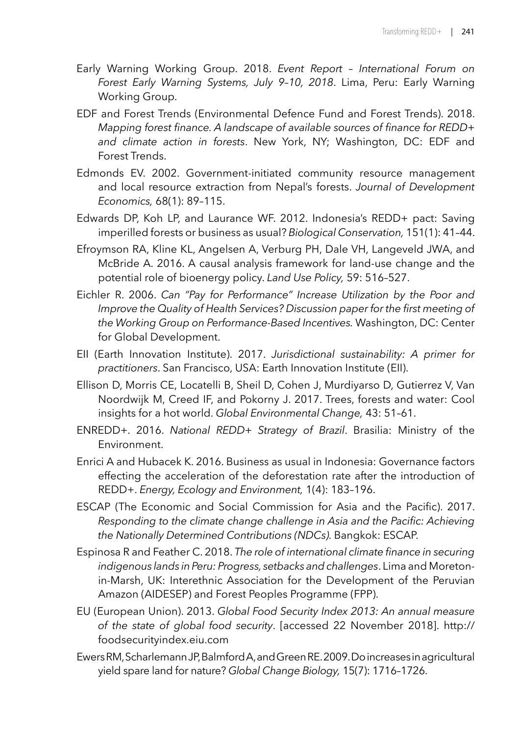- Early Warning Working Group. 2018. *Event Report International Forum on Forest Early Warning Systems, July 9–10, 2018*. Lima, Peru: Early Warning Working Group.
- EDF and Forest Trends (Environmental Defence Fund and Forest Trends). 2018. *Mapping forest finance. A landscape of available sources of finance for REDD+ and climate action in forests*. New York, NY; Washington, DC: EDF and Forest Trends.
- Edmonds EV. 2002. Government-initiated community resource management and local resource extraction from Nepal's forests. *Journal of Development Economics,* 68(1): 89–115.
- Edwards DP, Koh LP, and Laurance WF. 2012. Indonesia's REDD+ pact: Saving imperilled forests or business as usual? *Biological Conservation,* 151(1): 41–44.
- Efroymson RA, Kline KL, Angelsen A, Verburg PH, Dale VH, Langeveld JWA, and McBride A. 2016. A causal analysis framework for land-use change and the potential role of bioenergy policy. *Land Use Policy,* 59: 516–527.
- Eichler R. 2006. *Can "Pay for Performance" Increase Utilization by the Poor and Improve the Quality of Health Services? Discussion paper for the first meeting of the Working Group on Performance-Based Incentives.* Washington, DC: Center for Global Development.
- EII (Earth Innovation Institute). 2017. *Jurisdictional sustainability: A primer for practitioners*. San Francisco, USA: Earth Innovation Institute (EII).
- Ellison D, Morris CE, Locatelli B, Sheil D, Cohen J, Murdiyarso D, Gutierrez V, Van Noordwijk M, Creed IF, and Pokorny J. 2017. Trees, forests and water: Cool insights for a hot world. *Global Environmental Change,* 43: 51–61.
- ENREDD+. 2016. *National REDD+ Strategy of Brazil*. Brasilia: Ministry of the Environment.
- Enrici A and Hubacek K. 2016. Business as usual in Indonesia: Governance factors effecting the acceleration of the deforestation rate after the introduction of REDD+. *Energy, Ecology and Environment,* 1(4): 183–196.
- ESCAP (The Economic and Social Commission for Asia and the Pacific). 2017. *Responding to the climate change challenge in Asia and the Pacific: Achieving the Nationally Determined Contributions (NDCs).* Bangkok: ESCAP.
- Espinosa R and Feather C. 2018. *The role of international climate finance in securing indigenous lands in Peru: Progress, setbacks and challenges*. Lima and Moretonin-Marsh, UK: Interethnic Association for the Development of the Peruvian Amazon (AIDESEP) and Forest Peoples Programme (FPP).
- EU (European Union). 2013. *Global Food Security Index 2013: An annual measure of the state of global food security*. [accessed 22 November 2018]. [http://](http://foodsecurityindex.eiu.com) [foodsecurityindex.eiu.com](http://foodsecurityindex.eiu.com)
- Ewers RM, Scharlemann JP, Balmford A, and Green RE. 2009. Do increases in agricultural yield spare land for nature? *Global Change Biology,* 15(7): 1716–1726.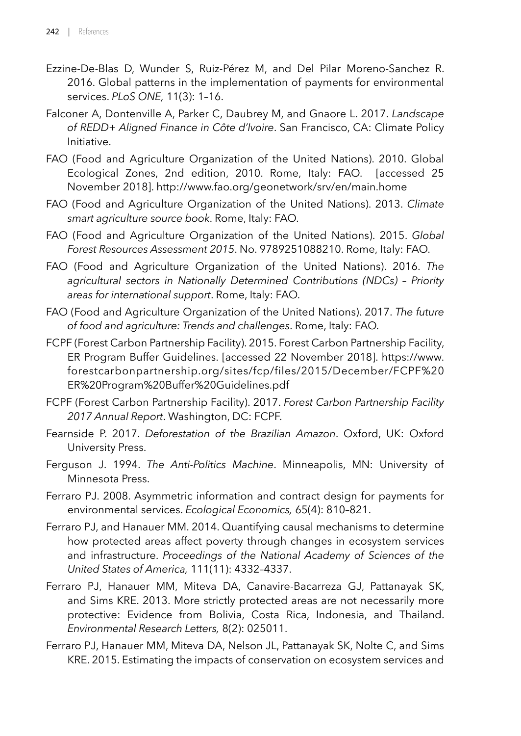- Ezzine-De-Blas D, Wunder S, Ruiz-Pérez M, and Del Pilar Moreno-Sanchez R. 2016. Global patterns in the implementation of payments for environmental services. *PLoS ONE,* 11(3): 1–16.
- Falconer A, Dontenville A, Parker C, Daubrey M, and Gnaore L. 2017. *Landscape of REDD+ Aligned Finance in Côte d'Ivoire*. San Francisco, CA: Climate Policy Initiative.
- FAO (Food and Agriculture Organization of the United Nations). 2010. Global Ecological Zones, 2nd edition, 2010. Rome, Italy: FAO. [accessed 25 November 2018]. <http://www.fao.org/geonetwork/srv/en/main.home>
- FAO (Food and Agriculture Organization of the United Nations). 2013. *Climate smart agriculture source book*. Rome, Italy: FAO.
- FAO (Food and Agriculture Organization of the United Nations). 2015. *Global Forest Resources Assessment 2015*. No. 9789251088210. Rome, Italy: FAO.
- FAO (Food and Agriculture Organization of the United Nations). 2016. *The agricultural sectors in Nationally Determined Contributions (NDCs) – Priority areas for international support*. Rome, Italy: FAO.
- FAO (Food and Agriculture Organization of the United Nations). 2017. *The future of food and agriculture: Trends and challenges*. Rome, Italy: FAO.
- FCPF (Forest Carbon Partnership Facility). 2015. Forest Carbon Partnership Facility, ER Program Buffer Guidelines. [accessed 22 November 2018]. [https://www.](https://www.forestcarbonpartnership.org/sites/fcp/files/2015/December/FCPF%20ER%20Program%20Buffer%20Guidelines.pdf) [forestcarbonpartnership.org/sites/fcp/files/2015/December/FCPF%20](https://www.forestcarbonpartnership.org/sites/fcp/files/2015/December/FCPF%20ER%20Program%20Buffer%20Guidelines.pdf) [ER%20Program%20Buffer%20Guidelines.pdf](https://www.forestcarbonpartnership.org/sites/fcp/files/2015/December/FCPF%20ER%20Program%20Buffer%20Guidelines.pdf)
- FCPF (Forest Carbon Partnership Facility). 2017. *Forest Carbon Partnership Facility 2017 Annual Report*. Washington, DC: FCPF.
- Fearnside P. 2017. *Deforestation of the Brazilian Amazon*. Oxford, UK: Oxford University Press.
- Ferguson J. 1994. *The Anti-Politics Machine*. Minneapolis, MN: University of Minnesota Press.
- Ferraro PJ. 2008. Asymmetric information and contract design for payments for environmental services. *Ecological Economics,* 65(4): 810–821.
- Ferraro PJ, and Hanauer MM. 2014. Quantifying causal mechanisms to determine how protected areas affect poverty through changes in ecosystem services and infrastructure. *Proceedings of the National Academy of Sciences of the United States of America,* 111(11): 4332–4337.
- Ferraro PJ, Hanauer MM, Miteva DA, Canavire-Bacarreza GJ, Pattanayak SK, and Sims KRE. 2013. More strictly protected areas are not necessarily more protective: Evidence from Bolivia, Costa Rica, Indonesia, and Thailand. *Environmental Research Letters,* 8(2): 025011.
- Ferraro PJ, Hanauer MM, Miteva DA, Nelson JL, Pattanayak SK, Nolte C, and Sims KRE. 2015. Estimating the impacts of conservation on ecosystem services and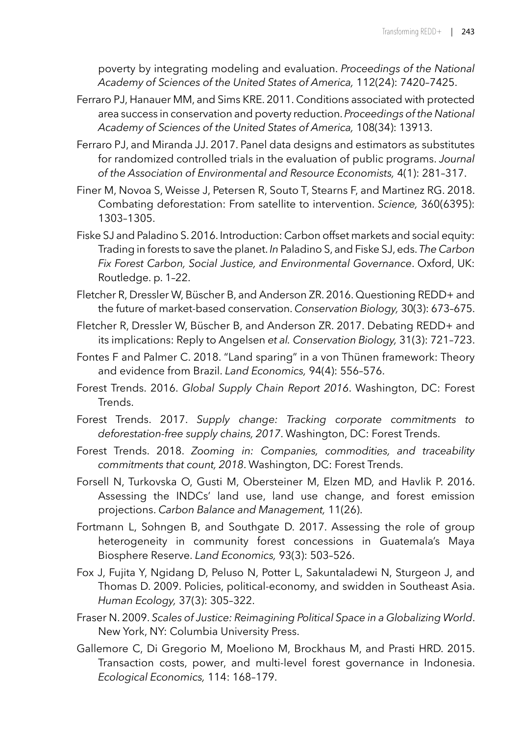poverty by integrating modeling and evaluation. *Proceedings of the National Academy of Sciences of the United States of America,* 112(24): 7420–7425.

- Ferraro PJ, Hanauer MM, and Sims KRE. 2011. Conditions associated with protected area success in conservation and poverty reduction. *Proceedings of the National Academy of Sciences of the United States of America,* 108(34): 13913.
- Ferraro PJ, and Miranda JJ. 2017. Panel data designs and estimators as substitutes for randomized controlled trials in the evaluation of public programs. *Journal of the Association of Environmental and Resource Economists,* 4(1): 281–317.
- Finer M, Novoa S, Weisse J, Petersen R, Souto T, Stearns F, and Martinez RG. 2018. Combating deforestation: From satellite to intervention. *Science,* 360(6395): 1303–1305.
- Fiske SJ and Paladino S. 2016. Introduction: Carbon offset markets and social equity: Trading in forests to save the planet. *In* Paladino S, and Fiske SJ, eds. *The Carbon Fix Forest Carbon, Social Justice, and Environmental Governance*. Oxford, UK: Routledge. p. 1–22.
- Fletcher R, Dressler W, Büscher B, and Anderson ZR. 2016. Questioning REDD+ and the future of market-based conservation. *Conservation Biology,* 30(3): 673–675.
- Fletcher R, Dressler W, Büscher B, and Anderson ZR. 2017. Debating REDD+ and its implications: Reply to Angelsen *et al. Conservation Biology,* 31(3): 721–723.
- Fontes F and Palmer C. 2018. "Land sparing" in a von Thünen framework: Theory and evidence from Brazil. *Land Economics,* 94(4): 556–576.
- Forest Trends. 2016. *Global Supply Chain Report 2016*. Washington, DC: Forest Trends.
- Forest Trends. 2017. *Supply change: Tracking corporate commitments to deforestation-free supply chains, 2017*. Washington, DC: Forest Trends.
- Forest Trends. 2018. *Zooming in: Companies, commodities, and traceability commitments that count, 2018*. Washington, DC: Forest Trends.
- Forsell N, Turkovska O, Gusti M, Obersteiner M, Elzen MD, and Havlik P. 2016. Assessing the INDCs' land use, land use change, and forest emission projections. *Carbon Balance and Management,* 11(26).
- Fortmann L, Sohngen B, and Southgate D. 2017. Assessing the role of group heterogeneity in community forest concessions in Guatemala's Maya Biosphere Reserve. *Land Economics,* 93(3): 503–526.
- Fox J, Fujita Y, Ngidang D, Peluso N, Potter L, Sakuntaladewi N, Sturgeon J, and Thomas D. 2009. Policies, political-economy, and swidden in Southeast Asia. *Human Ecology,* 37(3): 305–322.
- Fraser N. 2009. *Scales of Justice: Reimagining Political Space in a Globalizing World*. New York, NY: Columbia University Press.
- Gallemore C, Di Gregorio M, Moeliono M, Brockhaus M, and Prasti HRD. 2015. Transaction costs, power, and multi-level forest governance in Indonesia. *Ecological Economics,* 114: 168–179.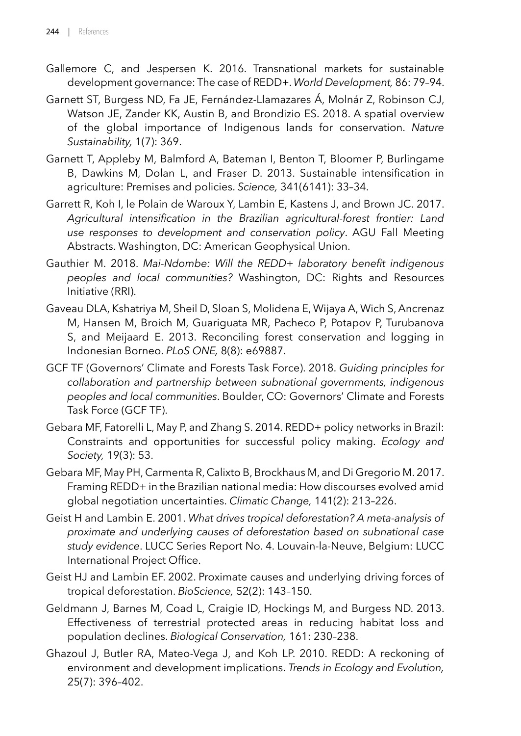- Gallemore C, and Jespersen K. 2016. Transnational markets for sustainable development governance: The case of REDD+. *World Development,* 86: 79–94.
- Garnett ST, Burgess ND, Fa JE, Fernández-Llamazares Á, Molnár Z, Robinson CJ, Watson JE, Zander KK, Austin B, and Brondizio ES. 2018. A spatial overview of the global importance of Indigenous lands for conservation. *Nature Sustainability,* 1(7): 369.
- Garnett T, Appleby M, Balmford A, Bateman I, Benton T, Bloomer P, Burlingame B, Dawkins M, Dolan L, and Fraser D. 2013. Sustainable intensification in agriculture: Premises and policies. *Science,* 341(6141): 33–34.
- Garrett R, Koh I, le Polain de Waroux Y, Lambin E, Kastens J, and Brown JC. 2017. *Agricultural intensification in the Brazilian agricultural-forest frontier: Land use responses to development and conservation policy*. AGU Fall Meeting Abstracts. Washington, DC: American Geophysical Union.
- Gauthier M. 2018. *Mai-Ndombe: Will the REDD+ laboratory benefit indigenous peoples and local communities?* Washington, DC: Rights and Resources Initiative (RRI).
- Gaveau DLA, Kshatriya M, Sheil D, Sloan S, Molidena E, Wijaya A, Wich S, Ancrenaz M, Hansen M, Broich M, Guariguata MR, Pacheco P, Potapov P, Turubanova S, and Meijaard E. 2013. Reconciling forest conservation and logging in Indonesian Borneo. *PLoS ONE,* 8(8): e69887.
- GCF TF (Governors' Climate and Forests Task Force). 2018. *Guiding principles for collaboration and partnership between subnational governments, indigenous peoples and local communities*. Boulder, CO: Governors' Climate and Forests Task Force (GCF TF).
- Gebara MF, Fatorelli L, May P, and Zhang S. 2014. REDD+ policy networks in Brazil: Constraints and opportunities for successful policy making. *Ecology and Society,* 19(3): 53.
- Gebara MF, May PH, Carmenta R, Calixto B, Brockhaus M, and Di Gregorio M. 2017. Framing REDD+ in the Brazilian national media: How discourses evolved amid global negotiation uncertainties. *Climatic Change,* 141(2): 213–226.
- Geist H and Lambin E. 2001. *What drives tropical deforestation? A meta-analysis of proximate and underlying causes of deforestation based on subnational case study evidence*. LUCC Series Report No. 4. Louvain-la-Neuve, Belgium: LUCC International Project Office.
- Geist HJ and Lambin EF. 2002. Proximate causes and underlying driving forces of tropical deforestation. *BioScience,* 52(2): 143–150.
- Geldmann J, Barnes M, Coad L, Craigie ID, Hockings M, and Burgess ND. 2013. Effectiveness of terrestrial protected areas in reducing habitat loss and population declines. *Biological Conservation,* 161: 230–238.
- Ghazoul J, Butler RA, Mateo-Vega J, and Koh LP. 2010. REDD: A reckoning of environment and development implications. *Trends in Ecology and Evolution,* 25(7): 396–402.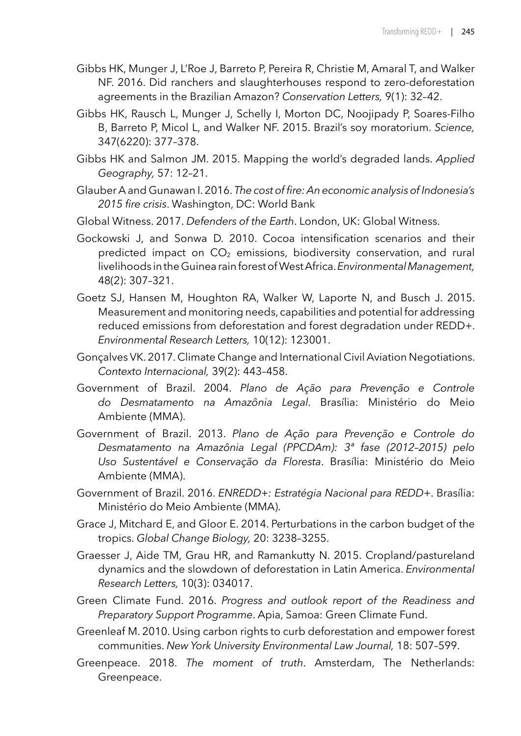- Gibbs HK, Munger J, L'Roe J, Barreto P, Pereira R, Christie M, Amaral T, and Walker NF. 2016. Did ranchers and slaughterhouses respond to zero-deforestation agreements in the Brazilian Amazon? *Conservation Letters,* 9(1): 32–42.
- Gibbs HK, Rausch L, Munger J, Schelly I, Morton DC, Noojipady P, Soares-Filho B, Barreto P, Micol L, and Walker NF. 2015. Brazil's soy moratorium. *Science,* 347(6220): 377–378.
- Gibbs HK and Salmon JM. 2015. Mapping the world's degraded lands. *Applied Geography,* 57: 12–21.
- Glauber A and Gunawan I. 2016. *The cost of fire: An economic analysis of Indonesia's 2015 fire crisis*. Washington, DC: World Bank
- Global Witness. 2017. *Defenders of the Earth*. London, UK: Global Witness.
- Gockowski J, and Sonwa D. 2010. Cocoa intensification scenarios and their predicted impact on  $CO<sub>2</sub>$  emissions, biodiversity conservation, and rural livelihoods in the Guinea rain forest of West Africa. *Environmental Management,* 48(2): 307–321.
- Goetz SJ, Hansen M, Houghton RA, Walker W, Laporte N, and Busch J. 2015. Measurement and monitoring needs, capabilities and potential for addressing reduced emissions from deforestation and forest degradation under REDD+. *Environmental Research Letters,* 10(12): 123001.
- Gonçalves VK. 2017. Climate Change and International Civil Aviation Negotiations. *Contexto Internacional,* 39(2): 443–458.
- Government of Brazil. 2004. *Plano de Ação para Prevenção e Controle do Desmatamento na Amazônia Legal*. Brasília: Ministério do Meio Ambiente (MMA).
- Government of Brazil. 2013. *Plano de Ação para Prevenção e Controle do Desmatamento na Amazônia Legal (PPCDAm): 3ª fase (2012–2015) pelo Uso Sustentável e Conservação da Floresta*. Brasília: Ministério do Meio Ambiente (MMA).
- Government of Brazil. 2016. *ENREDD+: Estratégia Nacional para REDD+*. Brasília: Ministério do Meio Ambiente (MMA).
- Grace J, Mitchard E, and Gloor E. 2014. Perturbations in the carbon budget of the tropics. *Global Change Biology,* 20: 3238–3255.
- Graesser J, Aide TM, Grau HR, and Ramankutty N. 2015. Cropland/pastureland dynamics and the slowdown of deforestation in Latin America. *Environmental Research Letters,* 10(3): 034017.
- Green Climate Fund. 2016. *Progress and outlook report of the Readiness and Preparatory Support Programme*. Apia, Samoa: Green Climate Fund.
- Greenleaf M. 2010. Using carbon rights to curb deforestation and empower forest communities. *New York University Environmental Law Journal,* 18: 507–599.
- Greenpeace. 2018. *The moment of truth*. Amsterdam, The Netherlands: Greenpeace.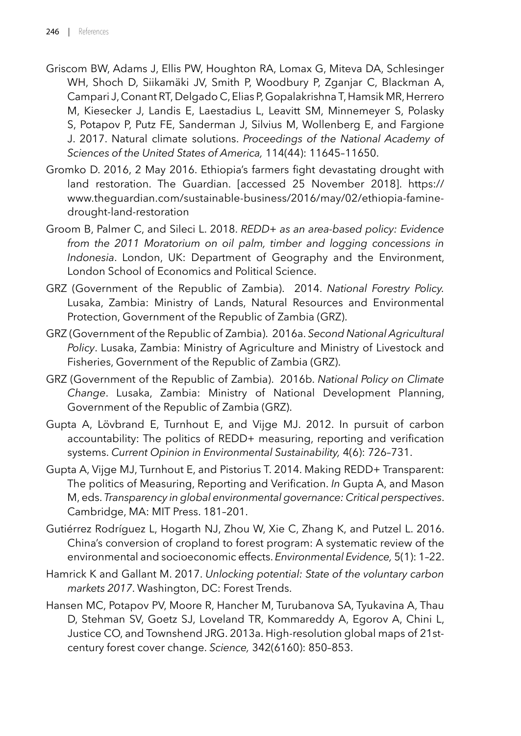- Griscom BW, Adams J, Ellis PW, Houghton RA, Lomax G, Miteva DA, Schlesinger WH, Shoch D, Siikamäki JV, Smith P, Woodbury P, Zganjar C, Blackman A, Campari J, Conant RT, Delgado C, Elias P, Gopalakrishna T, Hamsik MR, Herrero M, Kiesecker J, Landis E, Laestadius L, Leavitt SM, Minnemeyer S, Polasky S, Potapov P, Putz FE, Sanderman J, Silvius M, Wollenberg E, and Fargione J. 2017. Natural climate solutions. *Proceedings of the National Academy of Sciences of the United States of America,* 114(44): 11645–11650.
- Gromko D. 2016, 2 May 2016. Ethiopia's farmers fight devastating drought with land restoration. The Guardian. [accessed 25 November 2018]. [https://](https://www.theguardian.com/sustainable-business/2016/may/02/ethiopia-famine-drought-land-restoration) [www.theguardian.com/sustainable-business/2016/may/02/ethiopia-famine](https://www.theguardian.com/sustainable-business/2016/may/02/ethiopia-famine-drought-land-restoration)[drought-land-restoration](https://www.theguardian.com/sustainable-business/2016/may/02/ethiopia-famine-drought-land-restoration)
- Groom B, Palmer C, and Sileci L. 2018. *REDD+ as an area-based policy: Evidence from the 2011 Moratorium on oil palm, timber and logging concessions in Indonesia*. London, UK: Department of Geography and the Environment, London School of Economics and Political Science.
- GRZ (Government of the Republic of Zambia). 2014. *National Forestry Policy.*  Lusaka, Zambia: Ministry of Lands, Natural Resources and Environmental Protection, Government of the Republic of Zambia (GRZ).
- GRZ (Government of the Republic of Zambia). 2016a. *Second National Agricultural Policy*. Lusaka, Zambia: Ministry of Agriculture and Ministry of Livestock and Fisheries, Government of the Republic of Zambia (GRZ).
- GRZ (Government of the Republic of Zambia). 2016b. *National Policy on Climate Change*. Lusaka, Zambia: Ministry of National Development Planning, Government of the Republic of Zambia (GRZ).
- Gupta A, Lövbrand E, Turnhout E, and Vijge MJ. 2012. In pursuit of carbon accountability: The politics of REDD+ measuring, reporting and verification systems. *Current Opinion in Environmental Sustainability,* 4(6): 726–731.
- Gupta A, Vijge MJ, Turnhout E, and Pistorius T. 2014. Making REDD+ Transparent: The politics of Measuring, Reporting and Verification. *In* Gupta A, and Mason M, eds. *Transparency in global environmental governance: Critical perspectives*. Cambridge, MA: MIT Press. 181–201.
- Gutiérrez Rodríguez L, Hogarth NJ, Zhou W, Xie C, Zhang K, and Putzel L. 2016. China's conversion of cropland to forest program: A systematic review of the environmental and socioeconomic effects. *Environmental Evidence,* 5(1): 1–22.
- Hamrick K and Gallant M. 2017. *Unlocking potential: State of the voluntary carbon markets 2017*. Washington, DC: Forest Trends.
- Hansen MC, Potapov PV, Moore R, Hancher M, Turubanova SA, Tyukavina A, Thau D, Stehman SV, Goetz SJ, Loveland TR, Kommareddy A, Egorov A, Chini L, Justice CO, and Townshend JRG. 2013a. High-resolution global maps of 21stcentury forest cover change. *Science,* 342(6160): 850–853.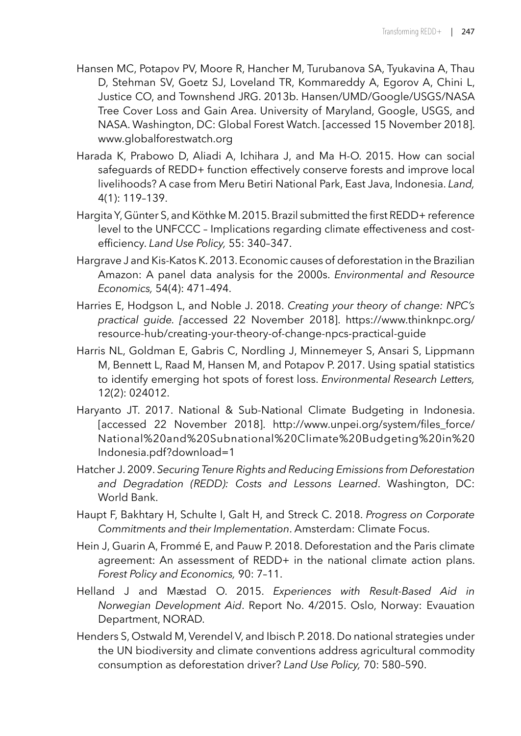- Hansen MC, Potapov PV, Moore R, Hancher M, Turubanova SA, Tyukavina A, Thau D, Stehman SV, Goetz SJ, Loveland TR, Kommareddy A, Egorov A, Chini L, Justice CO, and Townshend JRG. 2013b. Hansen/UMD/Google/USGS/NASA Tree Cover Loss and Gain Area. University of Maryland, Google, USGS, and NASA. Washington, DC: Global Forest Watch. [accessed 15 November 2018]. <www.globalforestwatch.org>
- Harada K, Prabowo D, Aliadi A, Ichihara J, and Ma H-O. 2015. How can social safeguards of REDD+ function effectively conserve forests and improve local livelihoods? A case from Meru Betiri National Park, East Java, Indonesia. *Land,* 4(1): 119–139.
- Hargita Y, Günter S, and Köthke M. 2015. Brazil submitted the first REDD+ reference level to the UNFCCC – Implications regarding climate effectiveness and costefficiency. *Land Use Policy,* 55: 340–347.
- Hargrave J and Kis-Katos K. 2013. Economic causes of deforestation in the Brazilian Amazon: A panel data analysis for the 2000s. *Environmental and Resource Economics,* 54(4): 471–494.
- Harries E, Hodgson L, and Noble J. 2018. *Creating your theory of change: NPC's practical guide. [*accessed 22 November 2018]. [https://www.thinknpc.org/](https://www.thinknpc.org/resource-hub/creating-your-theory-of-change-npcs-practical-guide) [resource-hub/creating-your-theory-of-change-npcs-practical-guide](https://www.thinknpc.org/resource-hub/creating-your-theory-of-change-npcs-practical-guide)
- Harris NL, Goldman E, Gabris C, Nordling J, Minnemeyer S, Ansari S, Lippmann M, Bennett L, Raad M, Hansen M, and Potapov P. 2017. Using spatial statistics to identify emerging hot spots of forest loss. *Environmental Research Letters,* 12(2): 024012.
- Haryanto JT. 2017. National & Sub-National Climate Budgeting in Indonesia. [accessed 22 November 2018]. [http://www.unpei.org/system/files\\_force/](http://www.unpei.org/system/files_force/National%20and%20Subnational%20Climate%20Budgeting%20in%20Indonesia.pdf?download=1) [National%20and%20Subnational%20Climate%20Budgeting%20in%20](http://www.unpei.org/system/files_force/National%20and%20Subnational%20Climate%20Budgeting%20in%20Indonesia.pdf?download=1) [Indonesia.pdf?download=1](http://www.unpei.org/system/files_force/National%20and%20Subnational%20Climate%20Budgeting%20in%20Indonesia.pdf?download=1)
- Hatcher J. 2009. *Securing Tenure Rights and Reducing Emissions from Deforestation and Degradation (REDD): Costs and Lessons Learned*. Washington, DC: World Bank.
- Haupt F, Bakhtary H, Schulte I, Galt H, and Streck C. 2018. *Progress on Corporate Commitments and their Implementation*. Amsterdam: Climate Focus.
- Hein J, Guarin A, Frommé E, and Pauw P. 2018. Deforestation and the Paris climate agreement: An assessment of REDD+ in the national climate action plans. *Forest Policy and Economics,* 90: 7–11.
- Helland J and Mæstad O. 2015. *Experiences with Result-Based Aid in Norwegian Development Aid*. Report No. 4/2015. Oslo, Norway: Evauation Department, NORAD.
- Henders S, Ostwald M, Verendel V, and Ibisch P. 2018. Do national strategies under the UN biodiversity and climate conventions address agricultural commodity consumption as deforestation driver? *Land Use Policy,* 70: 580–590.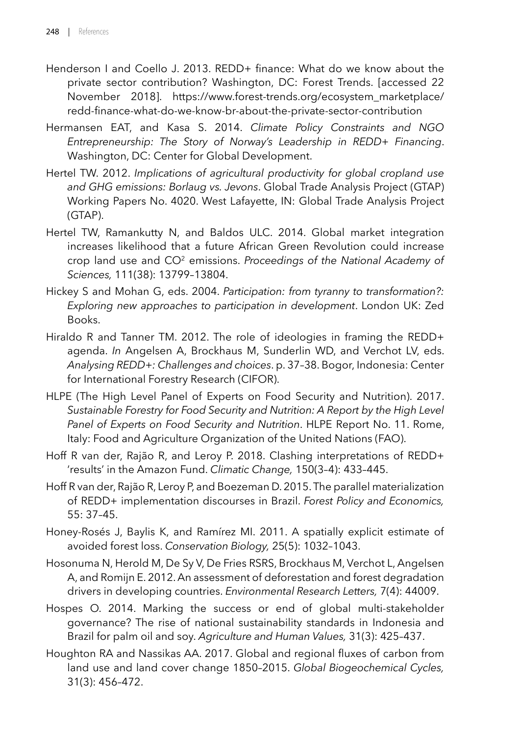- Henderson I and Coello J. 2013. REDD+ finance: What do we know about the private sector contribution? Washington, DC: Forest Trends. [accessed 22 November 2018]. [https://www.forest-trends.org/ecosystem\\_marketplace/](https://www.forest-trends.org/ecosystem_marketplace/redd-finance-what-do-we-know-br-about-the-private-sector-contribution) [redd-finance-what-do-we-know-br-about-the-private-sector-contribution](https://www.forest-trends.org/ecosystem_marketplace/redd-finance-what-do-we-know-br-about-the-private-sector-contribution)
- Hermansen EAT, and Kasa S. 2014. *Climate Policy Constraints and NGO Entrepreneurship: The Story of Norway's Leadership in REDD+ Financing*. Washington, DC: Center for Global Development.
- Hertel TW. 2012. *Implications of agricultural productivity for global cropland use and GHG emissions: Borlaug vs. Jevons*. Global Trade Analysis Project (GTAP) Working Papers No. 4020. West Lafayette, IN: Global Trade Analysis Project (GTAP).
- Hertel TW, Ramankutty N, and Baldos ULC. 2014. Global market integration increases likelihood that a future African Green Revolution could increase crop land use and CO<sup>2</sup> emissions. *Proceedings of the National Academy of Sciences,* 111(38): 13799–13804.
- Hickey S and Mohan G, eds. 2004. *Participation: from tyranny to transformation?: Exploring new approaches to participation in development*. London UK: Zed Books.
- Hiraldo R and Tanner TM. 2012. The role of ideologies in framing the REDD+ agenda. *In* Angelsen A, Brockhaus M, Sunderlin WD, and Verchot LV, eds. *Analysing REDD+: Challenges and choices*. p. 37–38. Bogor, Indonesia: Center for International Forestry Research (CIFOR).
- HLPE (The High Level Panel of Experts on Food Security and Nutrition). 2017. *Sustainable Forestry for Food Security and Nutrition: A Report by the High Level Panel of Experts on Food Security and Nutrition*. HLPE Report No. 11. Rome, Italy: Food and Agriculture Organization of the United Nations (FAO).
- Hoff R van der, Rajão R, and Leroy P. 2018. Clashing interpretations of REDD+ 'results' in the Amazon Fund. *Climatic Change,* 150(3–4): 433–445.
- Hoff R van der, Rajão R, Leroy P, and Boezeman D. 2015. The parallel materialization of REDD+ implementation discourses in Brazil. *Forest Policy and Economics,* 55: 37–45.
- Honey-Rosés J, Baylis K, and Ramírez MI. 2011. A spatially explicit estimate of avoided forest loss. *Conservation Biology,* 25(5): 1032–1043.
- Hosonuma N, Herold M, De Sy V, De Fries RSRS, Brockhaus M, Verchot L, Angelsen A, and Romijn E. 2012. An assessment of deforestation and forest degradation drivers in developing countries. *Environmental Research Letters,* 7(4): 44009.
- Hospes O. 2014. Marking the success or end of global multi-stakeholder governance? The rise of national sustainability standards in Indonesia and Brazil for palm oil and soy. *Agriculture and Human Values,* 31(3): 425–437.
- Houghton RA and Nassikas AA. 2017. Global and regional fluxes of carbon from land use and land cover change 1850–2015. *Global Biogeochemical Cycles,* 31(3): 456–472.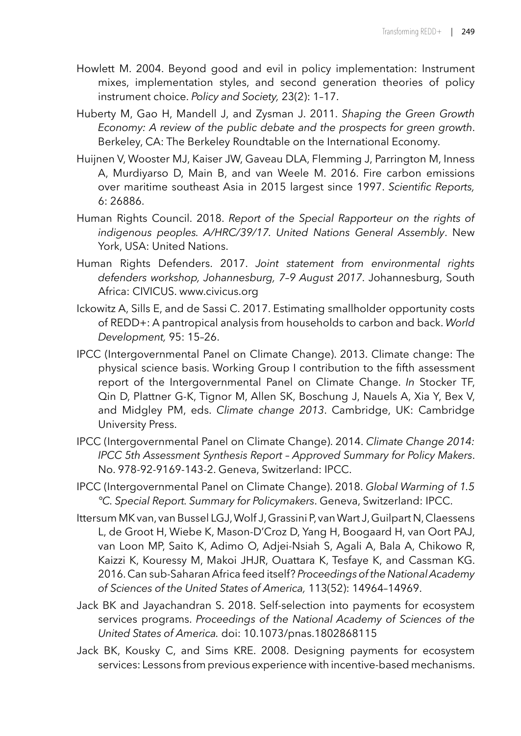- Howlett M. 2004. Beyond good and evil in policy implementation: Instrument mixes, implementation styles, and second generation theories of policy instrument choice. *Policy and Society,* 23(2): 1–17.
- Huberty M, Gao H, Mandell J, and Zysman J. 2011. *Shaping the Green Growth Economy: A review of the public debate and the prospects for green growth*. Berkeley, CA: The Berkeley Roundtable on the International Economy.
- Huijnen V, Wooster MJ, Kaiser JW, Gaveau DLA, Flemming J, Parrington M, Inness A, Murdiyarso D, Main B, and van Weele M. 2016. Fire carbon emissions over maritime southeast Asia in 2015 largest since 1997. *Scientific Reports,* 6: 26886.
- Human Rights Council. 2018. *Report of the Special Rapporteur on the rights of indigenous peoples. A/HRC/39/17. United Nations General Assembly*. New York, USA: United Nations.
- Human Rights Defenders. 2017. *Joint statement from environmental rights defenders workshop, Johannesburg, 7–9 August 2017*. Johannesburg, South Africa: CIVICUS. www.civicus.org
- Ickowitz A, Sills E, and de Sassi C. 2017. Estimating smallholder opportunity costs of REDD+: A pantropical analysis from households to carbon and back. *World Development,* 95: 15–26.
- IPCC (Intergovernmental Panel on Climate Change). 2013. Climate change: The physical science basis. Working Group I contribution to the fifth assessment report of the Intergovernmental Panel on Climate Change. *In* Stocker TF, Qin D, Plattner G-K, Tignor M, Allen SK, Boschung J, Nauels A, Xia Y, Bex V, and Midgley PM, eds. *Climate change 2013*. Cambridge, UK: Cambridge University Press.
- IPCC (Intergovernmental Panel on Climate Change). 2014. *Climate Change 2014: IPCC 5th Assessment Synthesis Report – Approved Summary for Policy Makers*. No. 978-92-9169-143-2. Geneva, Switzerland: IPCC.
- IPCC (Intergovernmental Panel on Climate Change). 2018. *Global Warming of 1.5 °C. Special Report. Summary for Policymakers*. Geneva, Switzerland: IPCC.
- Ittersum MK van, van Bussel LGJ, Wolf J, Grassini P, van Wart J, Guilpart N, Claessens L, de Groot H, Wiebe K, Mason-D'Croz D, Yang H, Boogaard H, van Oort PAJ, van Loon MP, Saito K, Adimo O, Adjei-Nsiah S, Agali A, Bala A, Chikowo R, Kaizzi K, Kouressy M, Makoi JHJR, Ouattara K, Tesfaye K, and Cassman KG. 2016. Can sub-Saharan Africa feed itself? *Proceedings of the National Academy of Sciences of the United States of America,* 113(52): 14964–14969.
- Jack BK and Jayachandran S. 2018. Self-selection into payments for ecosystem services programs. *Proceedings of the National Academy of Sciences of the United States of America.* doi: 10.1073/pnas.1802868115
- Jack BK, Kousky C, and Sims KRE. 2008. Designing payments for ecosystem services: Lessons from previous experience with incentive-based mechanisms.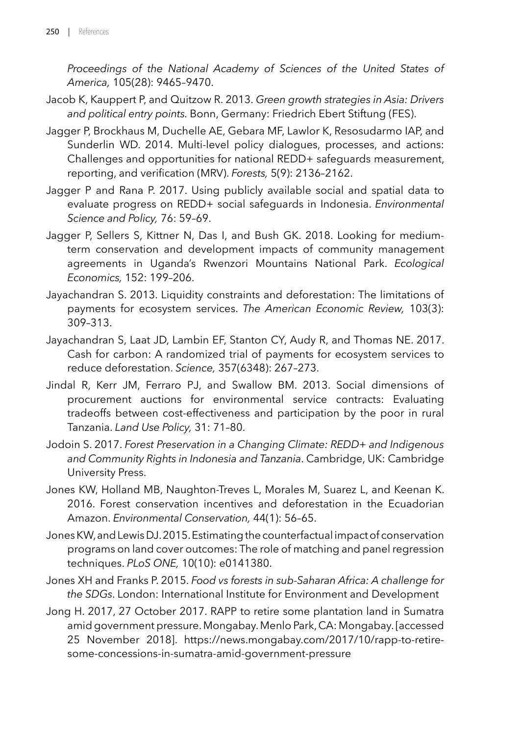*Proceedings of the National Academy of Sciences of the United States of America,* 105(28): 9465–9470.

- Jacob K, Kauppert P, and Quitzow R. 2013. *Green growth strategies in Asia: Drivers and political entry points.* Bonn, Germany: Friedrich Ebert Stiftung (FES).
- Jagger P, Brockhaus M, Duchelle AE, Gebara MF, Lawlor K, Resosudarmo IAP, and Sunderlin WD. 2014. Multi-level policy dialogues, processes, and actions: Challenges and opportunities for national REDD+ safeguards measurement, reporting, and verification (MRV). *Forests,* 5(9): 2136–2162.
- Jagger P and Rana P. 2017. Using publicly available social and spatial data to evaluate progress on REDD+ social safeguards in Indonesia. *Environmental Science and Policy,* 76: 59–69.
- Jagger P, Sellers S, Kittner N, Das I, and Bush GK. 2018. Looking for mediumterm conservation and development impacts of community management agreements in Uganda's Rwenzori Mountains National Park. *Ecological Economics,* 152: 199–206.
- Jayachandran S. 2013. Liquidity constraints and deforestation: The limitations of payments for ecosystem services. *The American Economic Review,* 103(3): 309–313.
- Jayachandran S, Laat JD, Lambin EF, Stanton CY, Audy R, and Thomas NE. 2017. Cash for carbon: A randomized trial of payments for ecosystem services to reduce deforestation. *Science,* 357(6348): 267–273.
- Jindal R, Kerr JM, Ferraro PJ, and Swallow BM. 2013. Social dimensions of procurement auctions for environmental service contracts: Evaluating tradeoffs between cost-effectiveness and participation by the poor in rural Tanzania. *Land Use Policy,* 31: 71–80.
- Jodoin S. 2017. *Forest Preservation in a Changing Climate: REDD+ and Indigenous and Community Rights in Indonesia and Tanzania*. Cambridge, UK: Cambridge University Press.
- Jones KW, Holland MB, Naughton-Treves L, Morales M, Suarez L, and Keenan K. 2016. Forest conservation incentives and deforestation in the Ecuadorian Amazon. *Environmental Conservation,* 44(1): 56–65.
- Jones KW, and Lewis DJ. 2015. Estimating the counterfactual impact of conservation programs on land cover outcomes: The role of matching and panel regression techniques. *PLoS ONE,* 10(10): e0141380.
- Jones XH and Franks P. 2015. *Food vs forests in sub-Saharan Africa: A challenge for the SDGs*. London: International Institute for Environment and Development
- Jong H. 2017, 27 October 2017. RAPP to retire some plantation land in Sumatra amid government pressure. Mongabay. Menlo Park, CA: Mongabay. [accessed 25 November 2018]. [https://news.mongabay.com/2017/10/rapp-to-retire](https://news.mongabay.com/2017/10/rapp-to-retire-some-concessions-in-sumatra-amid-government-pressure)[some-concessions-in-sumatra-amid-government-pressure](https://news.mongabay.com/2017/10/rapp-to-retire-some-concessions-in-sumatra-amid-government-pressure)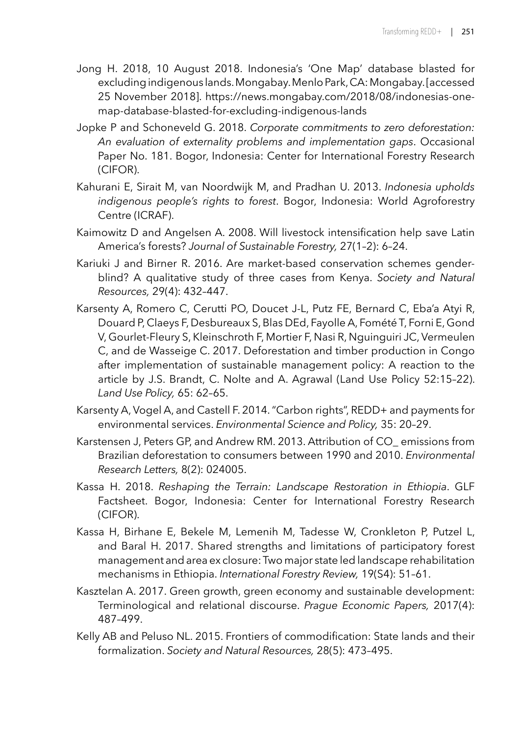- Jong H. 2018, 10 August 2018. Indonesia's 'One Map' database blasted for excluding indigenous lands. Mongabay. Menlo Park, CA: Mongabay. [accessed 25 November 2018]. [https://news.mongabay.com/2018/08/indonesias-one](https://news.mongabay.com/2018/08/indonesias-one-map-database-blasted-for-excluding-indigenous-lands)[map-database-blasted-for-excluding-indigenous-lands](https://news.mongabay.com/2018/08/indonesias-one-map-database-blasted-for-excluding-indigenous-lands)
- Jopke P and Schoneveld G. 2018. *Corporate commitments to zero deforestation: An evaluation of externality problems and implementation gaps*. Occasional Paper No. 181. Bogor, Indonesia: Center for International Forestry Research (CIFOR).
- Kahurani E, Sirait M, van Noordwijk M, and Pradhan U. 2013. *Indonesia upholds indigenous people's rights to forest*. Bogor, Indonesia: World Agroforestry Centre (ICRAF).
- Kaimowitz D and Angelsen A. 2008. Will livestock intensification help save Latin America's forests? *Journal of Sustainable Forestry,* 27(1–2): 6–24.
- Kariuki J and Birner R. 2016. Are market-based conservation schemes genderblind? A qualitative study of three cases from Kenya. *Society and Natural Resources,* 29(4): 432–447.
- Karsenty A, Romero C, Cerutti PO, Doucet J-L, Putz FE, Bernard C, Eba'a Atyi R, Douard P, Claeys F, Desbureaux S, Blas DEd, Fayolle A, Fomété T, Forni E, Gond V, Gourlet-Fleury S, Kleinschroth F, Mortier F, Nasi R, Nguinguiri JC, Vermeulen C, and de Wasseige C. 2017. Deforestation and timber production in Congo after implementation of sustainable management policy: A reaction to the article by J.S. Brandt, C. Nolte and A. Agrawal (Land Use Policy 52:15–22). *Land Use Policy,* 65: 62–65.
- Karsenty A, Vogel A, and Castell F. 2014. "Carbon rights", REDD+ and payments for environmental services. *Environmental Science and Policy,* 35: 20–29.
- Karstensen J, Peters GP, and Andrew RM. 2013. Attribution of CO\_ emissions from Brazilian deforestation to consumers between 1990 and 2010. *Environmental Research Letters,* 8(2): 024005.
- Kassa H. 2018. *Reshaping the Terrain: Landscape Restoration in Ethiopia*. GLF Factsheet. Bogor, Indonesia: Center for International Forestry Research (CIFOR).
- Kassa H, Birhane E, Bekele M, Lemenih M, Tadesse W, Cronkleton P, Putzel L, and Baral H. 2017. Shared strengths and limitations of participatory forest management and area ex closure: Two major state led landscape rehabilitation mechanisms in Ethiopia. *International Forestry Review,* 19(S4): 51–61.
- Kasztelan A. 2017. Green growth, green economy and sustainable development: Terminological and relational discourse. *Prague Economic Papers,* 2017(4): 487–499.
- Kelly AB and Peluso NL. 2015. Frontiers of commodification: State lands and their formalization. *Society and Natural Resources,* 28(5): 473–495.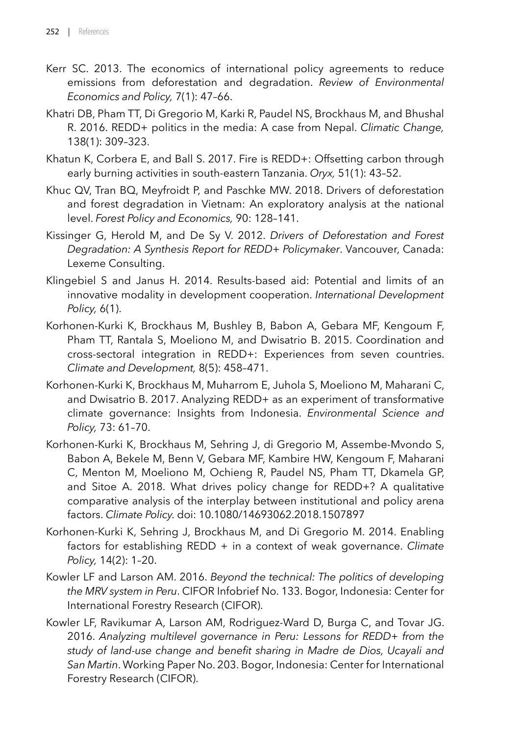- Kerr SC. 2013. The economics of international policy agreements to reduce emissions from deforestation and degradation. *Review of Environmental Economics and Policy,* 7(1): 47–66.
- Khatri DB, Pham TT, Di Gregorio M, Karki R, Paudel NS, Brockhaus M, and Bhushal R. 2016. REDD+ politics in the media: A case from Nepal. *Climatic Change,* 138(1): 309–323.
- Khatun K, Corbera E, and Ball S. 2017. Fire is REDD+: Offsetting carbon through early burning activities in south-eastern Tanzania. *Oryx,* 51(1): 43–52.
- Khuc QV, Tran BQ, Meyfroidt P, and Paschke MW. 2018. Drivers of deforestation and forest degradation in Vietnam: An exploratory analysis at the national level. *Forest Policy and Economics,* 90: 128–141.
- Kissinger G, Herold M, and De Sy V. 2012. *Drivers of Deforestation and Forest Degradation: A Synthesis Report for REDD+ Policymaker*. Vancouver, Canada: Lexeme Consulting.
- Klingebiel S and Janus H. 2014. Results-based aid: Potential and limits of an innovative modality in development cooperation. *International Development Policy,* 6(1).
- Korhonen-Kurki K, Brockhaus M, Bushley B, Babon A, Gebara MF, Kengoum F, Pham TT, Rantala S, Moeliono M, and Dwisatrio B. 2015. Coordination and cross-sectoral integration in REDD+: Experiences from seven countries. *Climate and Development,* 8(5): 458–471.
- Korhonen-Kurki K, Brockhaus M, Muharrom E, Juhola S, Moeliono M, Maharani C, and Dwisatrio B. 2017. Analyzing REDD+ as an experiment of transformative climate governance: Insights from Indonesia. *Environmental Science and Policy,* 73: 61–70.
- Korhonen-Kurki K, Brockhaus M, Sehring J, di Gregorio M, Assembe-Mvondo S, Babon A, Bekele M, Benn V, Gebara MF, Kambire HW, Kengoum F, Maharani C, Menton M, Moeliono M, Ochieng R, Paudel NS, Pham TT, Dkamela GP, and Sitoe A. 2018. What drives policy change for REDD+? A qualitative comparative analysis of the interplay between institutional and policy arena factors. *Climate Policy.* doi: 10.1080/14693062.2018.1507897
- Korhonen-Kurki K, Sehring J, Brockhaus M, and Di Gregorio M. 2014. Enabling factors for establishing REDD + in a context of weak governance. *Climate Policy,* 14(2): 1–20.
- Kowler LF and Larson AM. 2016. *Beyond the technical: The politics of developing the MRV system in Peru*. CIFOR Infobrief No. 133. Bogor, Indonesia: Center for International Forestry Research (CIFOR).
- Kowler LF, Ravikumar A, Larson AM, Rodriguez-Ward D, Burga C, and Tovar JG. 2016. *Analyzing multilevel governance in Peru: Lessons for REDD+ from the study of land-use change and benefit sharing in Madre de Dios, Ucayali and San Martin*. Working Paper No. 203. Bogor, Indonesia: Center for International Forestry Research (CIFOR).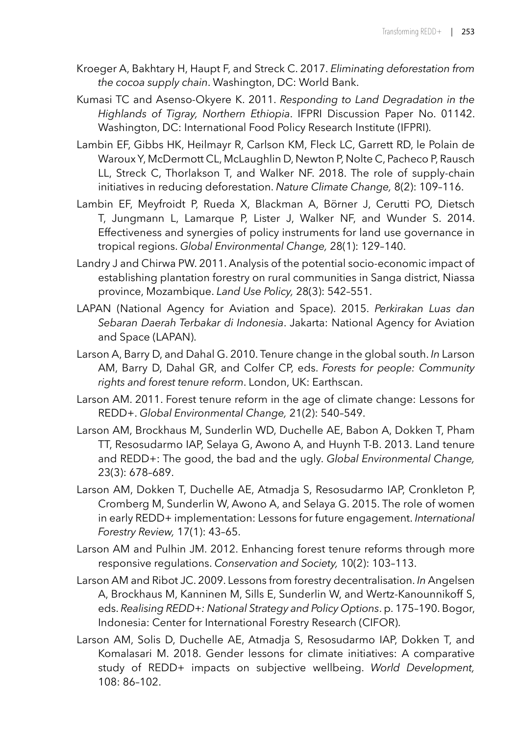- Kroeger A, Bakhtary H, Haupt F, and Streck C. 2017. *Eliminating deforestation from the cocoa supply chain*. Washington, DC: World Bank.
- Kumasi TC and Asenso-Okyere K. 2011. *Responding to Land Degradation in the Highlands of Tigray, Northern Ethiopia*. IFPRI Discussion Paper No. 01142. Washington, DC: International Food Policy Research Institute (IFPRI).
- Lambin EF, Gibbs HK, Heilmayr R, Carlson KM, Fleck LC, Garrett RD, le Polain de Waroux Y, McDermott CL, McLaughlin D, Newton P, Nolte C, Pacheco P, Rausch LL, Streck C, Thorlakson T, and Walker NF. 2018. The role of supply-chain initiatives in reducing deforestation. *Nature Climate Change,* 8(2): 109–116.
- Lambin EF, Meyfroidt P, Rueda X, Blackman A, Börner J, Cerutti PO, Dietsch T, Jungmann L, Lamarque P, Lister J, Walker NF, and Wunder S. 2014. Effectiveness and synergies of policy instruments for land use governance in tropical regions. *Global Environmental Change,* 28(1): 129–140.
- Landry J and Chirwa PW. 2011. Analysis of the potential socio-economic impact of establishing plantation forestry on rural communities in Sanga district, Niassa province, Mozambique. *Land Use Policy,* 28(3): 542–551.
- LAPAN (National Agency for Aviation and Space). 2015. *Perkirakan Luas dan Sebaran Daerah Terbakar di Indonesia*. Jakarta: National Agency for Aviation and Space (LAPAN).
- Larson A, Barry D, and Dahal G. 2010. Tenure change in the global south. *In* Larson AM, Barry D, Dahal GR, and Colfer CP, eds. *Forests for people: Community rights and forest tenure reform*. London, UK: Earthscan.
- Larson AM. 2011. Forest tenure reform in the age of climate change: Lessons for REDD+. *Global Environmental Change,* 21(2): 540–549.
- Larson AM, Brockhaus M, Sunderlin WD, Duchelle AE, Babon A, Dokken T, Pham TT, Resosudarmo IAP, Selaya G, Awono A, and Huynh T-B. 2013. Land tenure and REDD+: The good, the bad and the ugly. *Global Environmental Change,* 23(3): 678–689.
- Larson AM, Dokken T, Duchelle AE, Atmadja S, Resosudarmo IAP, Cronkleton P, Cromberg M, Sunderlin W, Awono A, and Selaya G. 2015. The role of women in early REDD+ implementation: Lessons for future engagement. *International Forestry Review,* 17(1): 43–65.
- Larson AM and Pulhin JM. 2012. Enhancing forest tenure reforms through more responsive regulations. *Conservation and Society,* 10(2): 103–113.
- Larson AM and Ribot JC. 2009. Lessons from forestry decentralisation. *In* Angelsen A, Brockhaus M, Kanninen M, Sills E, Sunderlin W, and Wertz-Kanounnikoff S, eds. *Realising REDD+: National Strategy and Policy Options*. p. 175–190. Bogor, Indonesia: Center for International Forestry Research (CIFOR).
- Larson AM, Solis D, Duchelle AE, Atmadja S, Resosudarmo IAP, Dokken T, and Komalasari M. 2018. Gender lessons for climate initiatives: A comparative study of REDD+ impacts on subjective wellbeing. *World Development,* 108: 86–102.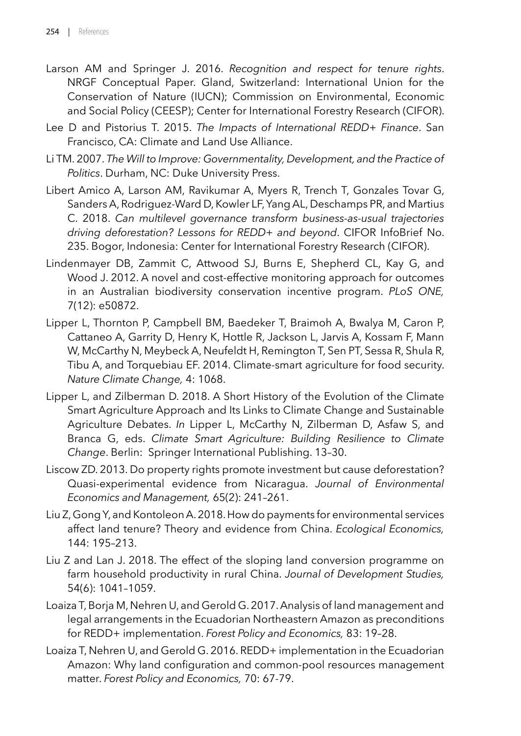- Larson AM and Springer J. 2016. *Recognition and respect for tenure rights*. NRGF Conceptual Paper. Gland, Switzerland: International Union for the Conservation of Nature (IUCN); Commission on Environmental, Economic and Social Policy (CEESP); Center for International Forestry Research (CIFOR).
- Lee D and Pistorius T. 2015. *The Impacts of International REDD+ Finance*. San Francisco, CA: Climate and Land Use Alliance.
- Li TM. 2007. *The Will to Improve: Governmentality, Development, and the Practice of Politics*. Durham, NC: Duke University Press.
- Libert Amico A, Larson AM, Ravikumar A, Myers R, Trench T, Gonzales Tovar G, Sanders A, Rodriguez-Ward D, Kowler LF, Yang AL, Deschamps PR, and Martius C. 2018. *Can multilevel governance transform business-as-usual trajectories driving deforestation? Lessons for REDD+ and beyond*. CIFOR InfoBrief No. 235. Bogor, Indonesia: Center for International Forestry Research (CIFOR).
- Lindenmayer DB, Zammit C, Attwood SJ, Burns E, Shepherd CL, Kay G, and Wood J. 2012. A novel and cost-effective monitoring approach for outcomes in an Australian biodiversity conservation incentive program. *PLoS ONE,* 7(12): e50872.
- Lipper L, Thornton P, Campbell BM, Baedeker T, Braimoh A, Bwalya M, Caron P, Cattaneo A, Garrity D, Henry K, Hottle R, Jackson L, Jarvis A, Kossam F, Mann W, McCarthy N, Meybeck A, Neufeldt H, Remington T, Sen PT, Sessa R, Shula R, Tibu A, and Torquebiau EF. 2014. Climate-smart agriculture for food security. *Nature Climate Change,* 4: 1068.
- Lipper L, and Zilberman D. 2018. A Short History of the Evolution of the Climate Smart Agriculture Approach and Its Links to Climate Change and Sustainable Agriculture Debates. *In* Lipper L, McCarthy N, Zilberman D, Asfaw S, and Branca G, eds. *Climate Smart Agriculture: Building Resilience to Climate Change*. Berlin: Springer International Publishing. 13–30.
- Liscow ZD. 2013. Do property rights promote investment but cause deforestation? Quasi-experimental evidence from Nicaragua. *Journal of Environmental Economics and Management,* 65(2): 241–261.
- Liu Z, Gong Y, and Kontoleon A. 2018. How do payments for environmental services affect land tenure? Theory and evidence from China. *Ecological Economics,* 144: 195–213.
- Liu Z and Lan J. 2018. The effect of the sloping land conversion programme on farm household productivity in rural China. *Journal of Development Studies,* 54(6): 1041–1059.
- Loaiza T, Borja M, Nehren U, and Gerold G. 2017. Analysis of land management and legal arrangements in the Ecuadorian Northeastern Amazon as preconditions for REDD+ implementation. *Forest Policy and Economics,* 83: 19–28.
- Loaiza T, Nehren U, and Gerold G. 2016. REDD+ implementation in the Ecuadorian Amazon: Why land configuration and common-pool resources management matter. *Forest Policy and Economics,* 70: 67-79.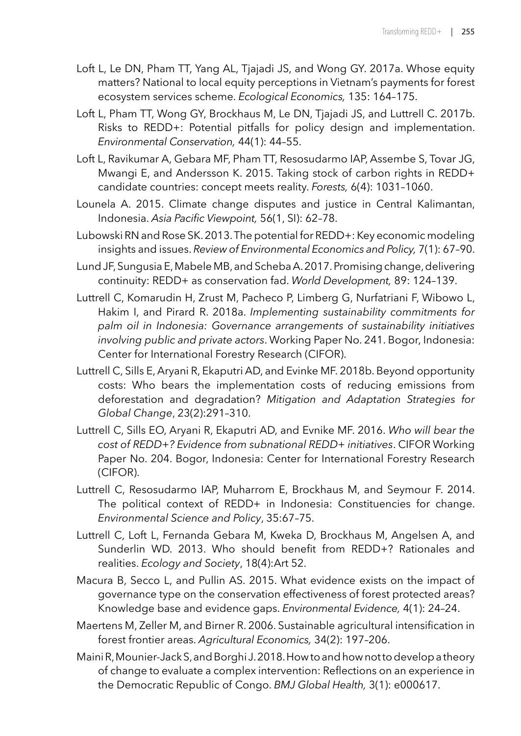- Loft L, Le DN, Pham TT, Yang AL, Tjajadi JS, and Wong GY. 2017a. Whose equity matters? National to local equity perceptions in Vietnam's payments for forest ecosystem services scheme. *Ecological Economics,* 135: 164–175.
- Loft L, Pham TT, Wong GY, Brockhaus M, Le DN, Tjajadi JS, and Luttrell C. 2017b. Risks to REDD+: Potential pitfalls for policy design and implementation. *Environmental Conservation,* 44(1): 44–55.
- Loft L, Ravikumar A, Gebara MF, Pham TT, Resosudarmo IAP, Assembe S, Tovar JG, Mwangi E, and Andersson K. 2015. Taking stock of carbon rights in REDD+ candidate countries: concept meets reality. *Forests,* 6(4): 1031–1060.
- Lounela A. 2015. Climate change disputes and justice in Central Kalimantan, Indonesia. *Asia Pacific Viewpoint,* 56(1, SI): 62–78.
- Lubowski RN and Rose SK. 2013. The potential for REDD+: Key economic modeling insights and issues. *Review of Environmental Economics and Policy,* 7(1): 67–90.
- Lund JF, Sungusia E, Mabele MB, and Scheba A. 2017. Promising change, delivering continuity: REDD+ as conservation fad. *World Development,* 89: 124–139.
- Luttrell C, Komarudin H, Zrust M, Pacheco P, Limberg G, Nurfatriani F, Wibowo L, Hakim I, and Pirard R. 2018a. *Implementing sustainability commitments for palm oil in Indonesia: Governance arrangements of sustainability initiatives involving public and private actors*. Working Paper No. 241. Bogor, Indonesia: Center for International Forestry Research (CIFOR).
- Luttrell C, Sills E, Aryani R, Ekaputri AD, and Evinke MF. 2018b. Beyond opportunity costs: Who bears the implementation costs of reducing emissions from deforestation and degradation? *Mitigation and Adaptation Strategies for Global Change*, 23(2):291–310.
- Luttrell C, Sills EO, Aryani R, Ekaputri AD, and Evnike MF. 2016. *Who will bear the cost of REDD+? Evidence from subnational REDD+ initiatives*. CIFOR Working Paper No. 204. Bogor, Indonesia: Center for International Forestry Research (CIFOR).
- Luttrell C, Resosudarmo IAP, Muharrom E, Brockhaus M, and Seymour F. 2014. The political context of REDD+ in Indonesia: Constituencies for change. *Environmental Science and Policy*, 35:67–75.
- Luttrell C, Loft L, Fernanda Gebara M, Kweka D, Brockhaus M, Angelsen A, and Sunderlin WD. 2013. Who should benefit from REDD+? Rationales and realities. *Ecology and Society*, 18(4):Art 52.
- Macura B, Secco L, and Pullin AS. 2015. What evidence exists on the impact of governance type on the conservation effectiveness of forest protected areas? Knowledge base and evidence gaps. *Environmental Evidence,* 4(1): 24–24.
- Maertens M, Zeller M, and Birner R. 2006. Sustainable agricultural intensification in forest frontier areas. *Agricultural Economics,* 34(2): 197–206.
- Maini R, Mounier-Jack S, and Borghi J. 2018. How to and how not to develop a theory of change to evaluate a complex intervention: Reflections on an experience in the Democratic Republic of Congo. *BMJ Global Health,* 3(1): e000617.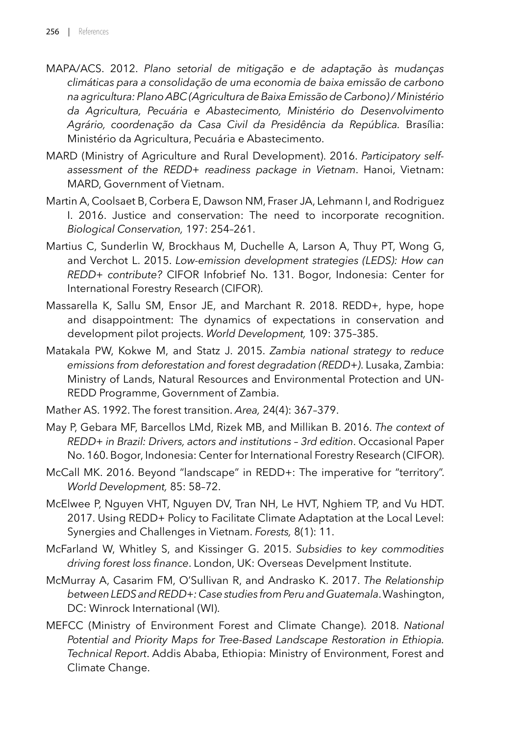- MAPA/ACS. 2012. *Plano setorial de mitigação e de adaptação às mudanças climáticas para a consolidação de uma economia de baixa emissão de carbono na agricultura: Plano ABC (Agricultura de Baixa Emissão de Carbono) / Ministério da Agricultura, Pecuária e Abastecimento, Ministério do Desenvolvimento Agrário, coordenação da Casa Civil da Presidência da República.* Brasília: Ministério da Agricultura, Pecuária e Abastecimento.
- MARD (Ministry of Agriculture and Rural Development). 2016. *Participatory selfassessment of the REDD+ readiness package in Vietnam*. Hanoi, Vietnam: MARD, Government of Vietnam.
- Martin A, Coolsaet B, Corbera E, Dawson NM, Fraser JA, Lehmann I, and Rodriguez I. 2016. Justice and conservation: The need to incorporate recognition. *Biological Conservation,* 197: 254–261.
- Martius C, Sunderlin W, Brockhaus M, Duchelle A, Larson A, Thuy PT, Wong G, and Verchot L. 2015. *Low-emission development strategies (LEDS): How can REDD+ contribute?* CIFOR Infobrief No. 131. Bogor, Indonesia: Center for International Forestry Research (CIFOR).
- Massarella K, Sallu SM, Ensor JE, and Marchant R. 2018. REDD+, hype, hope and disappointment: The dynamics of expectations in conservation and development pilot projects. *World Development,* 109: 375–385.
- Matakala PW, Kokwe M, and Statz J. 2015. *Zambia national strategy to reduce emissions from deforestation and forest degradation (REDD+)*. Lusaka, Zambia: Ministry of Lands, Natural Resources and Environmental Protection and UN-REDD Programme, Government of Zambia.
- Mather AS. 1992. The forest transition. *Area,* 24(4): 367–379.
- May P, Gebara MF, Barcellos LMd, Rizek MB, and Millikan B. 2016. *The context of REDD+ in Brazil: Drivers, actors and institutions – 3rd edition*. Occasional Paper No. 160. Bogor, Indonesia: Center for International Forestry Research (CIFOR).
- McCall MK. 2016. Beyond "landscape" in REDD+: The imperative for "territory". *World Development,* 85: 58–72.
- McElwee P, Nguyen VHT, Nguyen DV, Tran NH, Le HVT, Nghiem TP, and Vu HDT. 2017. Using REDD+ Policy to Facilitate Climate Adaptation at the Local Level: Synergies and Challenges in Vietnam. *Forests,* 8(1): 11.
- McFarland W, Whitley S, and Kissinger G. 2015. *Subsidies to key commodities driving forest loss finance*. London, UK: Overseas Develpment Institute.
- McMurray A, Casarim FM, O'Sullivan R, and Andrasko K. 2017. *The Relationship between LEDS and REDD+: Case studies from Peru and Guatemala*. Washington, DC: Winrock International (WI).
- MEFCC (Ministry of Environment Forest and Climate Change). 2018. *National Potential and Priority Maps for Tree-Based Landscape Restoration in Ethiopia. Technical Report*. Addis Ababa, Ethiopia: Ministry of Environment, Forest and Climate Change.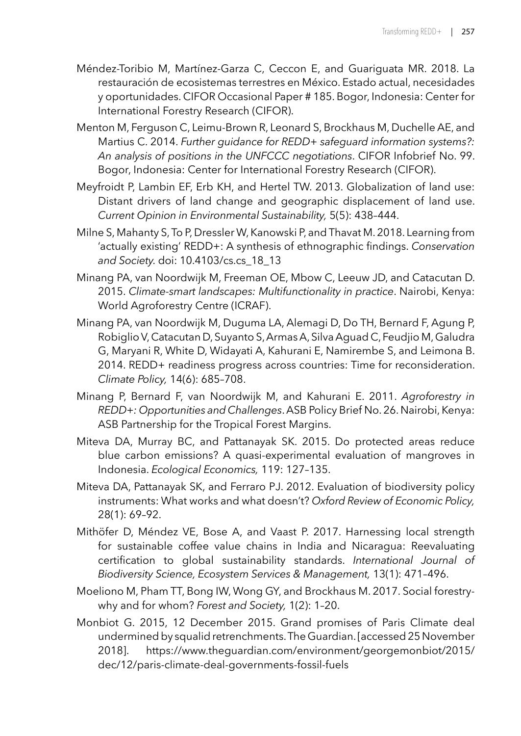- Méndez-Toribio M, Martínez-Garza C, Ceccon E, and Guariguata MR. 2018. La restauración de ecosistemas terrestres en México. Estado actual, necesidades y oportunidades. CIFOR Occasional Paper # 185. Bogor, Indonesia: Center for International Forestry Research (CIFOR).
- Menton M, Ferguson C, Leimu-Brown R, Leonard S, Brockhaus M, Duchelle AE, and Martius C. 2014. *Further guidance for REDD+ safeguard information systems?: An analysis of positions in the UNFCCC negotiations*. CIFOR Infobrief No. 99. Bogor, Indonesia: Center for International Forestry Research (CIFOR).
- Meyfroidt P, Lambin EF, Erb KH, and Hertel TW. 2013. Globalization of land use: Distant drivers of land change and geographic displacement of land use. *Current Opinion in Environmental Sustainability,* 5(5): 438–444.
- Milne S, Mahanty S, To P, Dressler W, Kanowski P, and Thavat M. 2018. Learning from 'actually existing' REDD+: A synthesis of ethnographic findings. *Conservation and Society.* doi: 10.4103/cs.cs\_18\_13
- Minang PA, van Noordwijk M, Freeman OE, Mbow C, Leeuw JD, and Catacutan D. 2015. *Climate-smart landscapes: Multifunctionality in practice*. Nairobi, Kenya: World Agroforestry Centre (ICRAF).
- Minang PA, van Noordwijk M, Duguma LA, Alemagi D, Do TH, Bernard F, Agung P, Robiglio V, Catacutan D, Suyanto S, Armas A, Silva Aguad C, Feudjio M, Galudra G, Maryani R, White D, Widayati A, Kahurani E, Namirembe S, and Leimona B. 2014. REDD+ readiness progress across countries: Time for reconsideration. *Climate Policy,* 14(6): 685–708.
- Minang P, Bernard F, van Noordwijk M, and Kahurani E. 2011. *Agroforestry in REDD+: Opportunities and Challenges*. ASB Policy Brief No. 26. Nairobi, Kenya: ASB Partnership for the Tropical Forest Margins.
- Miteva DA, Murray BC, and Pattanayak SK. 2015. Do protected areas reduce blue carbon emissions? A quasi-experimental evaluation of mangroves in Indonesia. *Ecological Economics,* 119: 127–135.
- Miteva DA, Pattanayak SK, and Ferraro PJ. 2012. Evaluation of biodiversity policy instruments: What works and what doesn't? *Oxford Review of Economic Policy,* 28(1): 69–92.
- Mithöfer D, Méndez VE, Bose A, and Vaast P. 2017. Harnessing local strength for sustainable coffee value chains in India and Nicaragua: Reevaluating certification to global sustainability standards. *International Journal of Biodiversity Science, Ecosystem Services & Management,* 13(1): 471–496.
- Moeliono M, Pham TT, Bong IW, Wong GY, and Brockhaus M. 2017. Social forestrywhy and for whom? *Forest and Society,* 1(2): 1–20.
- Monbiot G. 2015, 12 December 2015. Grand promises of Paris Climate deal undermined by squalid retrenchments. The Guardian. [accessed 25 November 2018]. [https://www.theguardian.com/environment/georgemonbiot/2015/](https://www.theguardian.com/environment/georgemonbiot/2015/dec/12/paris-climate-deal-governments-fossil-fuels) [dec/12/paris-climate-deal-governments-fossil-fuels](https://www.theguardian.com/environment/georgemonbiot/2015/dec/12/paris-climate-deal-governments-fossil-fuels)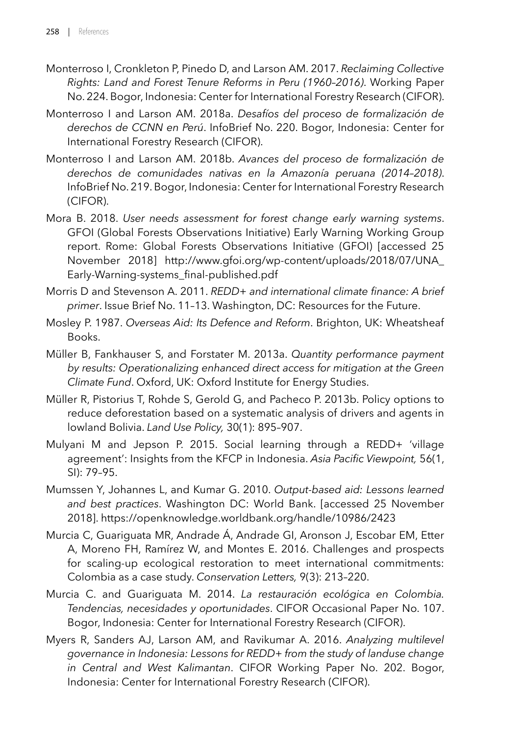- Monterroso I, Cronkleton P, Pinedo D, and Larson AM. 2017. *Reclaiming Collective Rights: Land and Forest Tenure Reforms in Peru (1960–2016)*. Working Paper No. 224. Bogor, Indonesia: Center for International Forestry Research (CIFOR).
- Monterroso I and Larson AM. 2018a. *Desafíos del proceso de formalización de derechos de CCNN en Perú*. InfoBrief No. 220. Bogor, Indonesia: Center for International Forestry Research (CIFOR).
- Monterroso I and Larson AM. 2018b. *Avances del proceso de formalización de derechos de comunidades nativas en la Amazonía peruana (2014–2018)*. InfoBrief No. 219. Bogor, Indonesia: Center for International Forestry Research (CIFOR).
- Mora B. 2018. *User needs assessment for forest change early warning systems*. GFOI (Global Forests Observations Initiative) Early Warning Working Group report. Rome: Global Forests Observations Initiative (GFOI) [accessed 25 November 2018] [http://www.gfoi.org/wp-content/uploads/2018/07/UNA\\_](http://www.gfoi.org/wp-content/uploads/2018/07/UNA_Early-Warning-systems_final-published.pdf) [Early-Warning-systems\\_final-published.pdf](http://www.gfoi.org/wp-content/uploads/2018/07/UNA_Early-Warning-systems_final-published.pdf)
- Morris D and Stevenson A. 2011. *REDD+ and international climate finance: A brief primer*. Issue Brief No. 11–13. Washington, DC: Resources for the Future.
- Mosley P. 1987. *Overseas Aid: Its Defence and Reform*. Brighton, UK: Wheatsheaf Books.
- Müller B, Fankhauser S, and Forstater M. 2013a. *Quantity performance payment by results: Operationalizing enhanced direct access for mitigation at the Green Climate Fund*. Oxford, UK: Oxford Institute for Energy Studies.
- Müller R, Pistorius T, Rohde S, Gerold G, and Pacheco P. 2013b. Policy options to reduce deforestation based on a systematic analysis of drivers and agents in lowland Bolivia. *Land Use Policy,* 30(1): 895–907.
- Mulyani M and Jepson P. 2015. Social learning through a REDD+ 'village agreement': Insights from the KFCP in Indonesia. *Asia Pacific Viewpoint,* 56(1, SI): 79–95.
- Mumssen Y, Johannes L, and Kumar G. 2010. *Output-based aid: Lessons learned and best practices*. Washington DC: World Bank. [accessed 25 November 2018].<https://openknowledge.worldbank.org/handle/10986/2423>
- Murcia C, Guariguata MR, Andrade Á, Andrade GI, Aronson J, Escobar EM, Etter A, Moreno FH, Ramírez W, and Montes E. 2016. Challenges and prospects for scaling-up ecological restoration to meet international commitments: Colombia as a case study. *Conservation Letters,* 9(3): 213–220.
- Murcia C. and Guariguata M. 2014. *La restauración ecológica en Colombia. Tendencias, necesidades y oportunidades*. CIFOR Occasional Paper No. 107. Bogor, Indonesia: Center for International Forestry Research (CIFOR).
- Myers R, Sanders AJ, Larson AM, and Ravikumar A. 2016. *Analyzing multilevel governance in Indonesia: Lessons for REDD+ from the study of landuse change in Central and West Kalimantan*. CIFOR Working Paper No. 202. Bogor, Indonesia: Center for International Forestry Research (CIFOR).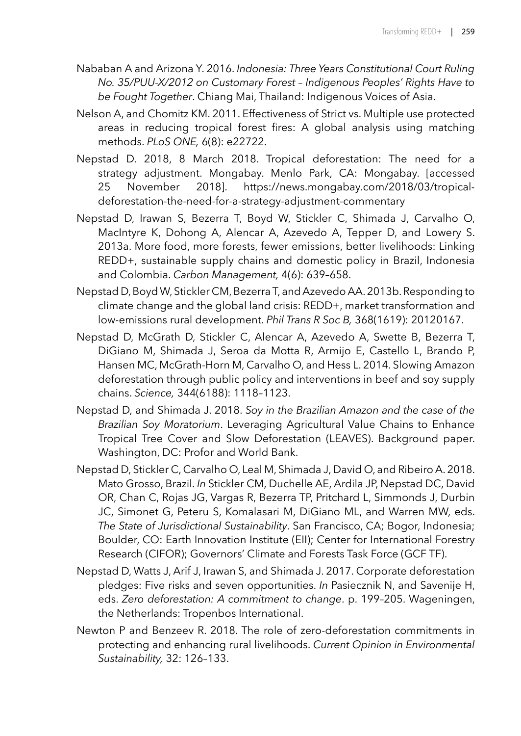- Nababan A and Arizona Y. 2016. *Indonesia: Three Years Constitutional Court Ruling No. 35/PUU-X/2012 on Customary Forest – Indigenous Peoples' Rights Have to be Fought Together*. Chiang Mai, Thailand: Indigenous Voices of Asia.
- Nelson A, and Chomitz KM. 2011. Effectiveness of Strict vs. Multiple use protected areas in reducing tropical forest fires: A global analysis using matching methods. *PLoS ONE,* 6(8): e22722.
- Nepstad D. 2018, 8 March 2018. Tropical deforestation: The need for a strategy adjustment. Mongabay. Menlo Park, CA: Mongabay. [accessed 25 November 2018]. [https://news.mongabay.com/2018/03/tropical](https://news.mongabay.com/2018/03/tropical-deforestation-the-need-for-a-strategy-adjustment-commentary)[deforestation-the-need-for-a-strategy-adjustment-commentary](https://news.mongabay.com/2018/03/tropical-deforestation-the-need-for-a-strategy-adjustment-commentary)
- Nepstad D, Irawan S, Bezerra T, Boyd W, Stickler C, Shimada J, Carvalho O, MacIntyre K, Dohong A, Alencar A, Azevedo A, Tepper D, and Lowery S. 2013a. More food, more forests, fewer emissions, better livelihoods: Linking REDD+, sustainable supply chains and domestic policy in Brazil, Indonesia and Colombia. *Carbon Management,* 4(6): 639–658.
- Nepstad D, Boyd W, Stickler CM, Bezerra T, and Azevedo AA. 2013b. Responding to climate change and the global land crisis: REDD+, market transformation and low-emissions rural development. *Phil Trans R Soc B,* 368(1619): 20120167.
- Nepstad D, McGrath D, Stickler C, Alencar A, Azevedo A, Swette B, Bezerra T, DiGiano M, Shimada J, Seroa da Motta R, Armijo E, Castello L, Brando P, Hansen MC, McGrath-Horn M, Carvalho O, and Hess L. 2014. Slowing Amazon deforestation through public policy and interventions in beef and soy supply chains. *Science,* 344(6188): 1118–1123.
- Nepstad D, and Shimada J. 2018. *Soy in the Brazilian Amazon and the case of the Brazilian Soy Moratorium*. Leveraging Agricultural Value Chains to Enhance Tropical Tree Cover and Slow Deforestation (LEAVES). Background paper. Washington, DC: Profor and World Bank.
- Nepstad D, Stickler C, Carvalho O, Leal M, Shimada J, David O, and Ribeiro A. 2018. Mato Grosso, Brazil. *In* Stickler CM, Duchelle AE, Ardila JP, Nepstad DC, David OR, Chan C, Rojas JG, Vargas R, Bezerra TP, Pritchard L, Simmonds J, Durbin JC, Simonet G, Peteru S, Komalasari M, DiGiano ML, and Warren MW, eds. *The State of Jurisdictional Sustainability*. San Francisco, CA; Bogor, Indonesia; Boulder, CO: Earth Innovation Institute (EII); Center for International Forestry Research (CIFOR); Governors' Climate and Forests Task Force (GCF TF).
- Nepstad D, Watts J, Arif J, Irawan S, and Shimada J. 2017. Corporate deforestation pledges: Five risks and seven opportunities. *In* Pasiecznik N, and Savenije H, eds. *Zero deforestation: A commitment to change*. p. 199–205. Wageningen, the Netherlands: Tropenbos International.
- Newton P and Benzeev R. 2018. The role of zero-deforestation commitments in protecting and enhancing rural livelihoods. *Current Opinion in Environmental Sustainability,* 32: 126–133.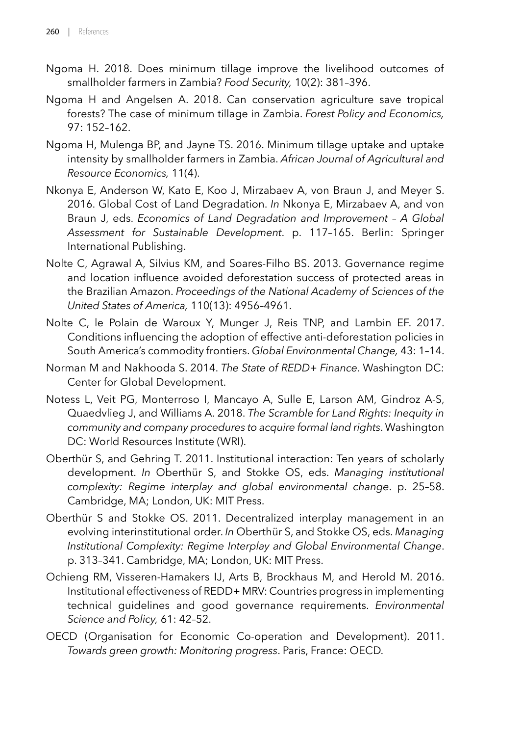- Ngoma H. 2018. Does minimum tillage improve the livelihood outcomes of smallholder farmers in Zambia? *Food Security,* 10(2): 381–396.
- Ngoma H and Angelsen A. 2018. Can conservation agriculture save tropical forests? The case of minimum tillage in Zambia. *Forest Policy and Economics,*  $97 \cdot 152 - 162$
- Ngoma H, Mulenga BP, and Jayne TS. 2016. Minimum tillage uptake and uptake intensity by smallholder farmers in Zambia. *African Journal of Agricultural and Resource Economics,* 11(4).
- Nkonya E, Anderson W, Kato E, Koo J, Mirzabaev A, von Braun J, and Meyer S. 2016. Global Cost of Land Degradation. *In* Nkonya E, Mirzabaev A, and von Braun J, eds. *Economics of Land Degradation and Improvement – A Global Assessment for Sustainable Development*. p. 117–165. Berlin: Springer International Publishing.
- Nolte C, Agrawal A, Silvius KM, and Soares-Filho BS. 2013. Governance regime and location influence avoided deforestation success of protected areas in the Brazilian Amazon. *Proceedings of the National Academy of Sciences of the United States of America,* 110(13): 4956–4961.
- Nolte C, le Polain de Waroux Y, Munger J, Reis TNP, and Lambin EF. 2017. Conditions influencing the adoption of effective anti-deforestation policies in South America's commodity frontiers. *Global Environmental Change,* 43: 1–14.
- Norman M and Nakhooda S. 2014. *The State of REDD+ Finance*. Washington DC: Center for Global Development.
- Notess L, Veit PG, Monterroso I, Mancayo A, Sulle E, Larson AM, Gindroz A-S, Quaedvlieg J, and Williams A. 2018. *The Scramble for Land Rights: Inequity in community and company procedures to acquire formal land rights*. Washington DC: World Resources Institute (WRI).
- Oberthür S, and Gehring T. 2011. Institutional interaction: Ten years of scholarly development. *In* Oberthür S, and Stokke OS, eds. *Managing institutional complexity: Regime interplay and global environmental change*. p. 25–58. Cambridge, MA; London, UK: MIT Press.
- Oberthür S and Stokke OS. 2011. Decentralized interplay management in an evolving interinstitutional order. *In* Oberthür S, and Stokke OS, eds. *Managing Institutional Complexity: Regime Interplay and Global Environmental Change*. p. 313–341. Cambridge, MA; London, UK: MIT Press.
- Ochieng RM, Visseren-Hamakers IJ, Arts B, Brockhaus M, and Herold M. 2016. Institutional effectiveness of REDD+ MRV: Countries progress in implementing technical guidelines and good governance requirements. *Environmental Science and Policy,* 61: 42–52.
- OECD (Organisation for Economic Co-operation and Development). 2011. *Towards green growth: Monitoring progress*. Paris, France: OECD.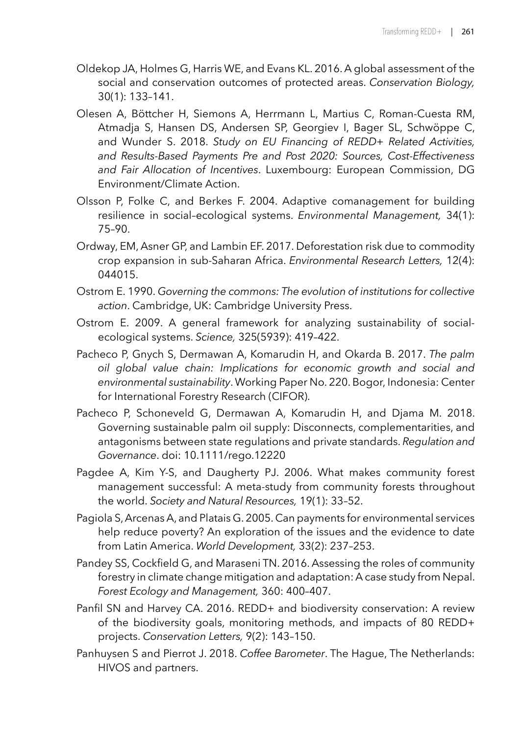- Oldekop JA, Holmes G, Harris WE, and Evans KL. 2016. A global assessment of the social and conservation outcomes of protected areas. *Conservation Biology,* 30(1): 133–141.
- Olesen A, Böttcher H, Siemons A, Herrmann L, Martius C, Roman-Cuesta RM, Atmadja S, Hansen DS, Andersen SP, Georgiev I, Bager SL, Schwöppe C, and Wunder S. 2018. *Study on EU Financing of REDD+ Related Activities, and Results-Based Payments Pre and Post 2020: Sources, Cost-Effectiveness and Fair Allocation of Incentives*. Luxembourg: European Commission, DG Environment/Climate Action.
- Olsson P, Folke C, and Berkes F. 2004. Adaptive comanagement for building resilience in social–ecological systems. *Environmental Management,* 34(1): 75–90.
- Ordway, EM, Asner GP, and Lambin EF. 2017. Deforestation risk due to commodity crop expansion in sub-Saharan Africa. *Environmental Research Letters,* 12(4): 044015.
- Ostrom E. 1990. *Governing the commons: The evolution of institutions for collective action*. Cambridge, UK: Cambridge University Press.
- Ostrom E. 2009. A general framework for analyzing sustainability of socialecological systems. *Science,* 325(5939): 419–422.
- Pacheco P, Gnych S, Dermawan A, Komarudin H, and Okarda B. 2017. *The palm oil global value chain: Implications for economic growth and social and environmental sustainability*. Working Paper No. 220. Bogor, Indonesia: Center for International Forestry Research (CIFOR).
- Pacheco P, Schoneveld G, Dermawan A, Komarudin H, and Djama M. 2018. Governing sustainable palm oil supply: Disconnects, complementarities, and antagonisms between state regulations and private standards. *Regulation and Governance*. doi: 10.1111/rego.12220
- Pagdee A, Kim Y-S, and Daugherty PJ. 2006. What makes community forest management successful: A meta-study from community forests throughout the world. *Society and Natural Resources,* 19(1): 33–52.
- Pagiola S, Arcenas A, and Platais G. 2005. Can payments for environmental services help reduce poverty? An exploration of the issues and the evidence to date from Latin America. *World Development,* 33(2): 237–253.
- Pandey SS, Cockfield G, and Maraseni TN. 2016. Assessing the roles of community forestry in climate change mitigation and adaptation: A case study from Nepal. *Forest Ecology and Management,* 360: 400–407.
- Panfil SN and Harvey CA. 2016. REDD+ and biodiversity conservation: A review of the biodiversity goals, monitoring methods, and impacts of 80 REDD+ projects. *Conservation Letters,* 9(2): 143–150.
- Panhuysen S and Pierrot J. 2018. *Coffee Barometer*. The Hague, The Netherlands: HIVOS and partners.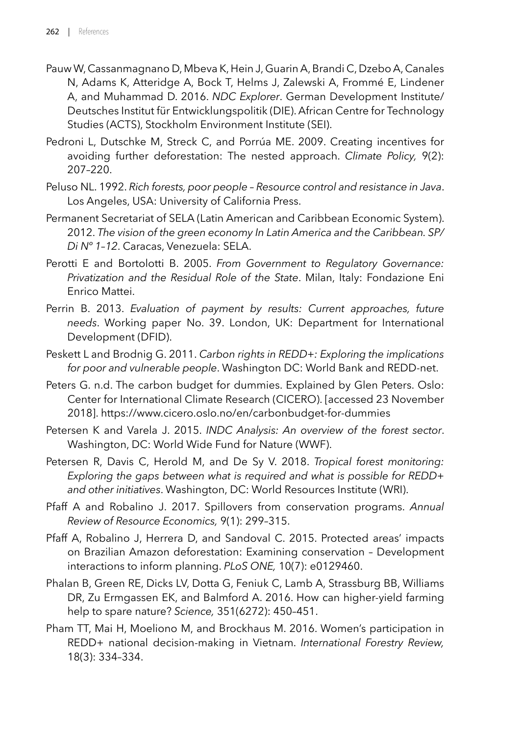- Pauw W, Cassanmagnano D, Mbeva K, Hein J, Guarin A, Brandi C, Dzebo A, Canales N, Adams K, Atteridge A, Bock T, Helms J, Zalewski A, Frommé E, Lindener A, and Muhammad D. 2016. *NDC Explorer*. German Development Institute/ Deutsches Institut für Entwicklungspolitik (DIE). African Centre for Technology Studies (ACTS), Stockholm Environment Institute (SEI).
- Pedroni L, Dutschke M, Streck C, and Porrúa ME. 2009. Creating incentives for avoiding further deforestation: The nested approach. *Climate Policy,* 9(2): 207–220.
- Peluso NL. 1992. *Rich forests, poor people Resource control and resistance in Java*. Los Angeles, USA: University of California Press.
- Permanent Secretariat of SELA (Latin American and Caribbean Economic System). 2012. *The vision of the green economy In Latin America and the Caribbean. SP/ Di Nº 1–12*. Caracas, Venezuela: SELA.
- Perotti E and Bortolotti B. 2005. *From Government to Regulatory Governance: Privatization and the Residual Role of the State*. Milan, Italy: Fondazione Eni Enrico Mattei.
- Perrin B. 2013. *Evaluation of payment by results: Current approaches, future needs*. Working paper No. 39. London, UK: Department for International Development (DFID).
- Peskett L and Brodnig G. 2011. *Carbon rights in REDD+: Exploring the implications for poor and vulnerable people*. Washington DC: World Bank and REDD-net.
- Peters G. n.d. The carbon budget for dummies. Explained by Glen Peters. Oslo: Center for International Climate Research (CICERO). [accessed 23 November 2018].<https://www.cicero.oslo.no/en/carbonbudget-for-dummies>
- Petersen K and Varela J. 2015. *INDC Analysis: An overview of the forest sector*. Washington, DC: World Wide Fund for Nature (WWF).
- Petersen R, Davis C, Herold M, and De Sy V. 2018. *Tropical forest monitoring: Exploring the gaps between what is required and what is possible for REDD+ and other initiatives*. Washington, DC: World Resources Institute (WRI).
- Pfaff A and Robalino J. 2017. Spillovers from conservation programs. *Annual Review of Resource Economics,* 9(1): 299–315.
- Pfaff A, Robalino J, Herrera D, and Sandoval C. 2015. Protected areas' impacts on Brazilian Amazon deforestation: Examining conservation – Development interactions to inform planning. *PLoS ONE,* 10(7): e0129460.
- Phalan B, Green RE, Dicks LV, Dotta G, Feniuk C, Lamb A, Strassburg BB, Williams DR, Zu Ermgassen EK, and Balmford A. 2016. How can higher-yield farming help to spare nature? *Science,* 351(6272): 450–451.
- Pham TT, Mai H, Moeliono M, and Brockhaus M. 2016. Women's participation in REDD+ national decision-making in Vietnam. *International Forestry Review,* 18(3): 334–334.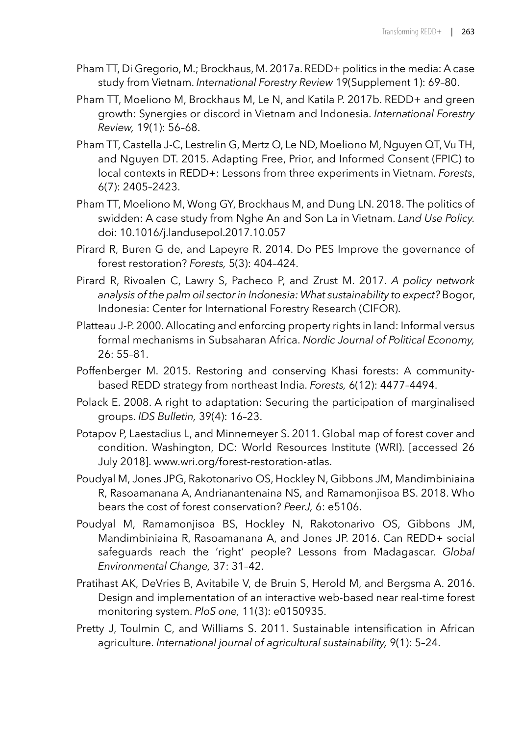- Pham TT, Di Gregorio, M.; Brockhaus, M. 2017a. REDD+ politics in the media: A case study from Vietnam. *International Forestry Review* 19(Supplement 1): 69–80.
- Pham TT, Moeliono M, Brockhaus M, Le N, and Katila P. 2017b. REDD+ and green growth: Synergies or discord in Vietnam and Indonesia. *International Forestry Review,* 19(1): 56–68.
- Pham TT, Castella J-C, Lestrelin G, Mertz O, Le ND, Moeliono M, Nguyen QT, Vu TH, and Nguyen DT. 2015. Adapting Free, Prior, and Informed Consent (FPIC) to local contexts in REDD+: Lessons from three experiments in Vietnam. *Forests*, 6(7): 2405–2423.
- Pham TT, Moeliono M, Wong GY, Brockhaus M, and Dung LN. 2018. The politics of swidden: A case study from Nghe An and Son La in Vietnam. *Land Use Policy.*  doi: 10.1016/j.landusepol.2017.10.057
- Pirard R, Buren G de, and Lapeyre R. 2014. Do PES Improve the governance of forest restoration? *Forests,* 5(3): 404–424.
- Pirard R, Rivoalen C, Lawry S, Pacheco P, and Zrust M. 2017. *A policy network analysis of the palm oil sector in Indonesia: What sustainability to expect?* Bogor, Indonesia: Center for International Forestry Research (CIFOR).
- Platteau J-P. 2000. Allocating and enforcing property rights in land: Informal versus formal mechanisms in Subsaharan Africa. *Nordic Journal of Political Economy,* 26: 55–81.
- Poffenberger M. 2015. Restoring and conserving Khasi forests: A communitybased REDD strategy from northeast India. *Forests,* 6(12): 4477–4494.
- Polack E. 2008. A right to adaptation: Securing the participation of marginalised groups. *IDS Bulletin,* 39(4): 16–23.
- Potapov P, Laestadius L, and Minnemeyer S. 2011. Global map of forest cover and condition. Washington, DC: World Resources Institute (WRI). [accessed 26 July 2018]. [www.wri.org/forest-restoration-atlas.](www.wri.org/forest-restoration-atlas)
- Poudyal M, Jones JPG, Rakotonarivo OS, Hockley N, Gibbons JM, Mandimbiniaina R, Rasoamanana A, Andrianantenaina NS, and Ramamonjisoa BS. 2018. Who bears the cost of forest conservation? *PeerJ,* 6: e5106.
- Poudyal M, Ramamonjisoa BS, Hockley N, Rakotonarivo OS, Gibbons JM, Mandimbiniaina R, Rasoamanana A, and Jones JP. 2016. Can REDD+ social safeguards reach the 'right' people? Lessons from Madagascar. *Global Environmental Change,* 37: 31–42.
- Pratihast AK, DeVries B, Avitabile V, de Bruin S, Herold M, and Bergsma A. 2016. Design and implementation of an interactive web-based near real-time forest monitoring system. *PloS one,* 11(3): e0150935.
- Pretty J, Toulmin C, and Williams S. 2011. Sustainable intensification in African agriculture. *International journal of agricultural sustainability,* 9(1): 5–24.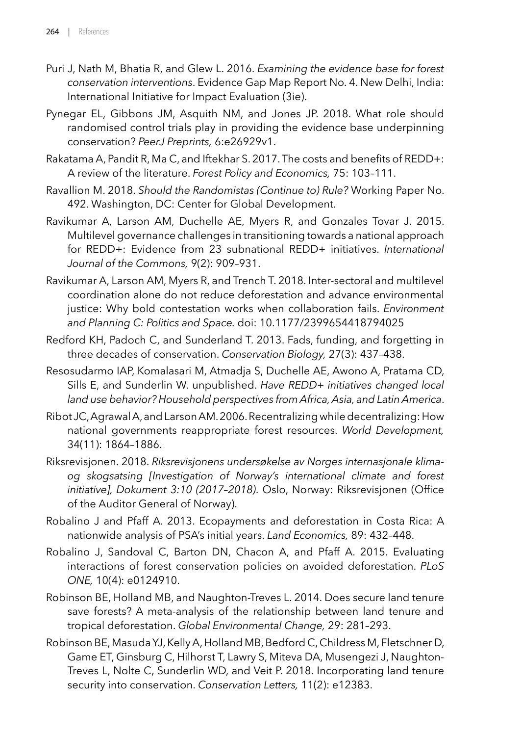- Puri J, Nath M, Bhatia R, and Glew L. 2016. *Examining the evidence base for forest conservation interventions*. Evidence Gap Map Report No. 4. New Delhi, India: International Initiative for Impact Evaluation (3ie).
- Pynegar EL, Gibbons JM, Asquith NM, and Jones JP. 2018. What role should randomised control trials play in providing the evidence base underpinning conservation? *PeerJ Preprints,* 6:e26929v1.
- Rakatama A, Pandit R, Ma C, and Iftekhar S. 2017. The costs and benefits of REDD+: A review of the literature. *Forest Policy and Economics,* 75: 103–111.
- Ravallion M. 2018. *Should the Randomistas (Continue to) Rule?* Working Paper No. 492. Washington, DC: Center for Global Development.
- Ravikumar A, Larson AM, Duchelle AE, Myers R, and Gonzales Tovar J. 2015. Multilevel governance challenges in transitioning towards a national approach for REDD+: Evidence from 23 subnational REDD+ initiatives. *International Journal of the Commons,* 9(2): 909–931.
- Ravikumar A, Larson AM, Myers R, and Trench T. 2018. Inter-sectoral and multilevel coordination alone do not reduce deforestation and advance environmental justice: Why bold contestation works when collaboration fails. *Environment and Planning C: Politics and Space.* doi: 10.1177/2399654418794025
- Redford KH, Padoch C, and Sunderland T. 2013. Fads, funding, and forgetting in three decades of conservation. *Conservation Biology,* 27(3): 437–438.
- Resosudarmo IAP, Komalasari M, Atmadja S, Duchelle AE, Awono A, Pratama CD, Sills E, and Sunderlin W. unpublished. *Have REDD+ initiatives changed local land use behavior? Household perspectives from Africa, Asia, and Latin America*.
- Ribot JC, Agrawal A, and Larson AM. 2006. Recentralizing while decentralizing: How national governments reappropriate forest resources. *World Development,* 34(11): 1864–1886.
- Riksrevisjonen. 2018. *Riksrevisjonens undersøkelse av Norges internasjonale klimaog skogsatsing [Investigation of Norway's international climate and forest initiative], Dokument 3:10 (2017–2018)*. Oslo, Norway: Riksrevisjonen (Office of the Auditor General of Norway).
- Robalino J and Pfaff A. 2013. Ecopayments and deforestation in Costa Rica: A nationwide analysis of PSA's initial years. *Land Economics,* 89: 432–448.
- Robalino J, Sandoval C, Barton DN, Chacon A, and Pfaff A. 2015. Evaluating interactions of forest conservation policies on avoided deforestation. *PLoS ONE,* 10(4): e0124910.
- Robinson BE, Holland MB, and Naughton-Treves L. 2014. Does secure land tenure save forests? A meta-analysis of the relationship between land tenure and tropical deforestation. *Global Environmental Change,* 29: 281–293.
- Robinson BE, Masuda YJ, Kelly A, Holland MB, Bedford C, Childress M, Fletschner D, Game ET, Ginsburg C, Hilhorst T, Lawry S, Miteva DA, Musengezi J, Naughton-Treves L, Nolte C, Sunderlin WD, and Veit P. 2018. Incorporating land tenure security into conservation. *Conservation Letters,* 11(2): e12383.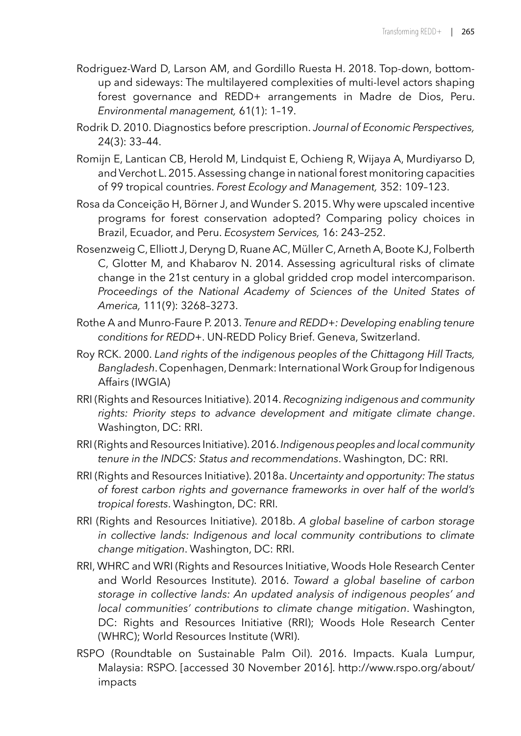- Rodriguez-Ward D, Larson AM, and Gordillo Ruesta H. 2018. Top-down, bottomup and sideways: The multilayered complexities of multi-level actors shaping forest governance and REDD+ arrangements in Madre de Dios, Peru. *Environmental management,* 61(1): 1–19.
- Rodrik D. 2010. Diagnostics before prescription. *Journal of Economic Perspectives,* 24(3): 33–44.
- Romijn E, Lantican CB, Herold M, Lindquist E, Ochieng R, Wijaya A, Murdiyarso D, and Verchot L. 2015. Assessing change in national forest monitoring capacities of 99 tropical countries. *Forest Ecology and Management,* 352: 109–123.
- Rosa da Conceição H, Börner J, and Wunder S. 2015. Why were upscaled incentive programs for forest conservation adopted? Comparing policy choices in Brazil, Ecuador, and Peru. *Ecosystem Services,* 16: 243–252.
- Rosenzweig C, Elliott J, Deryng D, Ruane AC, Müller C, Arneth A, Boote KJ, Folberth C, Glotter M, and Khabarov N. 2014. Assessing agricultural risks of climate change in the 21st century in a global gridded crop model intercomparison. *Proceedings of the National Academy of Sciences of the United States of America,* 111(9): 3268–3273.
- Rothe A and Munro-Faure P. 2013. *Tenure and REDD+: Developing enabling tenure conditions for REDD+*. UN-REDD Policy Brief. Geneva, Switzerland.
- Roy RCK. 2000. *Land rights of the indigenous peoples of the Chittagong Hill Tracts, Bangladesh*. Copenhagen, Denmark: International Work Group for Indigenous Affairs (IWGIA)
- RRI (Rights and Resources Initiative). 2014. *Recognizing indigenous and community rights: Priority steps to advance development and mitigate climate change*. Washington, DC: RRI.
- RRI (Rights and Resources Initiative). 2016. *Indigenous peoples and local community tenure in the INDCS: Status and recommendations*. Washington, DC: RRI.
- RRI (Rights and Resources Initiative). 2018a. *Uncertainty and opportunity: The status of forest carbon rights and governance frameworks in over half of the world's tropical forests*. Washington, DC: RRI.
- RRI (Rights and Resources Initiative). 2018b. *A global baseline of carbon storage in collective lands: Indigenous and local community contributions to climate change mitigation*. Washington, DC: RRI.
- RRI, WHRC and WRI (Rights and Resources Initiative, Woods Hole Research Center and World Resources Institute). 2016. *Toward a global baseline of carbon storage in collective lands: An updated analysis of indigenous peoples' and local communities' contributions to climate change mitigation*. Washington, DC: Rights and Resources Initiative (RRI); Woods Hole Research Center (WHRC); World Resources Institute (WRI).
- RSPO (Roundtable on Sustainable Palm Oil). 2016. Impacts. Kuala Lumpur, Malaysia: RSPO. [accessed 30 November 2016]. [http://www.rspo.org/about/](http://www.rspo.org/about/impacts) [impacts](http://www.rspo.org/about/impacts)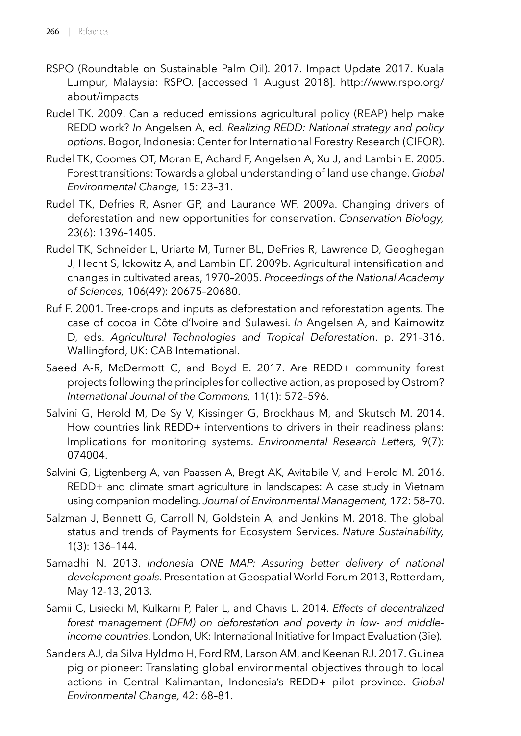- RSPO (Roundtable on Sustainable Palm Oil). 2017. Impact Update 2017. Kuala Lumpur, Malaysia: RSPO. [accessed 1 August 2018]. [http://www.rspo.org/](http://www.rspo.org/about/impacts) [about/impacts](http://www.rspo.org/about/impacts)
- Rudel TK. 2009. Can a reduced emissions agricultural policy (REAP) help make REDD work? *In* Angelsen A, ed. *Realizing REDD: National strategy and policy options*. Bogor, Indonesia: Center for International Forestry Research (CIFOR).
- Rudel TK, Coomes OT, Moran E, Achard F, Angelsen A, Xu J, and Lambin E. 2005. Forest transitions: Towards a global understanding of land use change. *Global Environmental Change,* 15: 23–31.
- Rudel TK, Defries R, Asner GP, and Laurance WF. 2009a. Changing drivers of deforestation and new opportunities for conservation. *Conservation Biology,* 23(6): 1396–1405.
- Rudel TK, Schneider L, Uriarte M, Turner BL, DeFries R, Lawrence D, Geoghegan J, Hecht S, Ickowitz A, and Lambin EF. 2009b. Agricultural intensification and changes in cultivated areas, 1970–2005. *Proceedings of the National Academy of Sciences,* 106(49): 20675–20680.
- Ruf F. 2001. Tree-crops and inputs as deforestation and reforestation agents. The case of cocoa in Côte d'Ivoire and Sulawesi. *In* Angelsen A, and Kaimowitz D, eds. *Agricultural Technologies and Tropical Deforestation*. p. 291–316. Wallingford, UK: CAB International.
- Saeed A-R, McDermott C, and Boyd E. 2017. Are REDD+ community forest projects following the principles for collective action, as proposed by Ostrom? *International Journal of the Commons,* 11(1): 572–596.
- Salvini G, Herold M, De Sy V, Kissinger G, Brockhaus M, and Skutsch M. 2014. How countries link REDD+ interventions to drivers in their readiness plans: Implications for monitoring systems. *Environmental Research Letters,* 9(7): 074004.
- Salvini G, Ligtenberg A, van Paassen A, Bregt AK, Avitabile V, and Herold M. 2016. REDD+ and climate smart agriculture in landscapes: A case study in Vietnam using companion modeling. *Journal of Environmental Management,* 172: 58–70.
- Salzman J, Bennett G, Carroll N, Goldstein A, and Jenkins M. 2018. The global status and trends of Payments for Ecosystem Services. *Nature Sustainability,* 1(3): 136–144.
- Samadhi N. 2013. *Indonesia ONE MAP: Assuring better delivery of national development goals*. Presentation at Geospatial World Forum 2013, Rotterdam, May 12-13, 2013.
- Samii C, Lisiecki M, Kulkarni P, Paler L, and Chavis L. 2014. *Effects of decentralized forest management (DFM) on deforestation and poverty in low- and middleincome countries*. London, UK: International Initiative for Impact Evaluation (3ie).
- Sanders AJ, da Silva Hyldmo H, Ford RM, Larson AM, and Keenan RJ. 2017. Guinea pig or pioneer: Translating global environmental objectives through to local actions in Central Kalimantan, Indonesia's REDD+ pilot province. *Global Environmental Change,* 42: 68–81.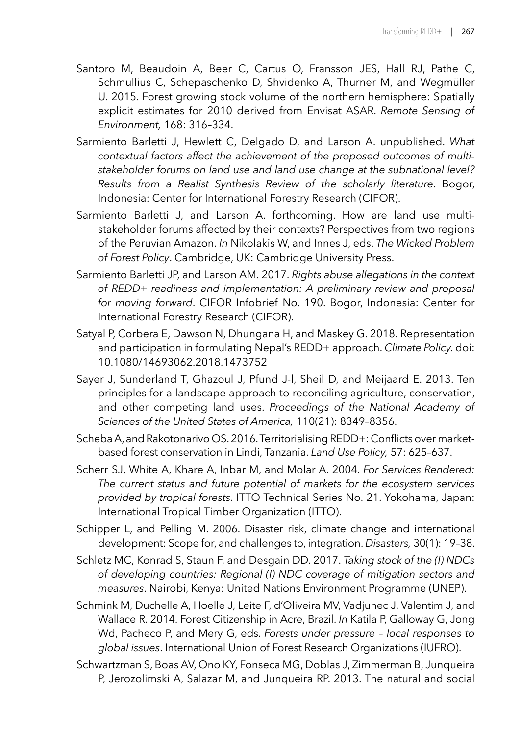- Santoro M, Beaudoin A, Beer C, Cartus O, Fransson JES, Hall RJ, Pathe C, Schmullius C, Schepaschenko D, Shvidenko A, Thurner M, and Wegmüller U. 2015. Forest growing stock volume of the northern hemisphere: Spatially explicit estimates for 2010 derived from Envisat ASAR. *Remote Sensing of Environment,* 168: 316–334.
- Sarmiento Barletti J, Hewlett C, Delgado D, and Larson A. unpublished. *What contextual factors affect the achievement of the proposed outcomes of multistakeholder forums on land use and land use change at the subnational level? Results from a Realist Synthesis Review of the scholarly literature*. Bogor, Indonesia: Center for International Forestry Research (CIFOR).
- Sarmiento Barletti J, and Larson A. forthcoming. How are land use multistakeholder forums affected by their contexts? Perspectives from two regions of the Peruvian Amazon. *In* Nikolakis W, and Innes J, eds. *The Wicked Problem of Forest Policy*. Cambridge, UK: Cambridge University Press.
- Sarmiento Barletti JP, and Larson AM. 2017. *Rights abuse allegations in the context of REDD+ readiness and implementation: A preliminary review and proposal for moving forward*. CIFOR Infobrief No. 190. Bogor, Indonesia: Center for International Forestry Research (CIFOR).
- Satyal P, Corbera E, Dawson N, Dhungana H, and Maskey G. 2018. Representation and participation in formulating Nepal's REDD+ approach. *Climate Policy.* doi: 10.1080/14693062.2018.1473752
- Sayer J, Sunderland T, Ghazoul J, Pfund J-l, Sheil D, and Meijaard E. 2013. Ten principles for a landscape approach to reconciling agriculture, conservation, and other competing land uses. *Proceedings of the National Academy of Sciences of the United States of America,* 110(21): 8349–8356.
- Scheba A, and Rakotonarivo OS. 2016. Territorialising REDD+: Conflicts over marketbased forest conservation in Lindi, Tanzania. *Land Use Policy,* 57: 625–637.
- Scherr SJ, White A, Khare A, Inbar M, and Molar A. 2004. *For Services Rendered: The current status and future potential of markets for the ecosystem services provided by tropical forests*. ITTO Technical Series No. 21. Yokohama, Japan: International Tropical Timber Organization (ITTO).
- Schipper L, and Pelling M. 2006. Disaster risk, climate change and international development: Scope for, and challenges to, integration. *Disasters,* 30(1): 19–38.
- Schletz MC, Konrad S, Staun F, and Desgain DD. 2017. *Taking stock of the (I) NDCs of developing countries: Regional (I) NDC coverage of mitigation sectors and measures*. Nairobi, Kenya: United Nations Environment Programme (UNEP).
- Schmink M, Duchelle A, Hoelle J, Leite F, d'Oliveira MV, Vadjunec J, Valentim J, and Wallace R. 2014. Forest Citizenship in Acre, Brazil. *In* Katila P, Galloway G, Jong Wd, Pacheco P, and Mery G, eds. *Forests under pressure – local responses to global issues*. International Union of Forest Research Organizations (IUFRO).
- Schwartzman S, Boas AV, Ono KY, Fonseca MG, Doblas J, Zimmerman B, Junqueira P, Jerozolimski A, Salazar M, and Junqueira RP. 2013. The natural and social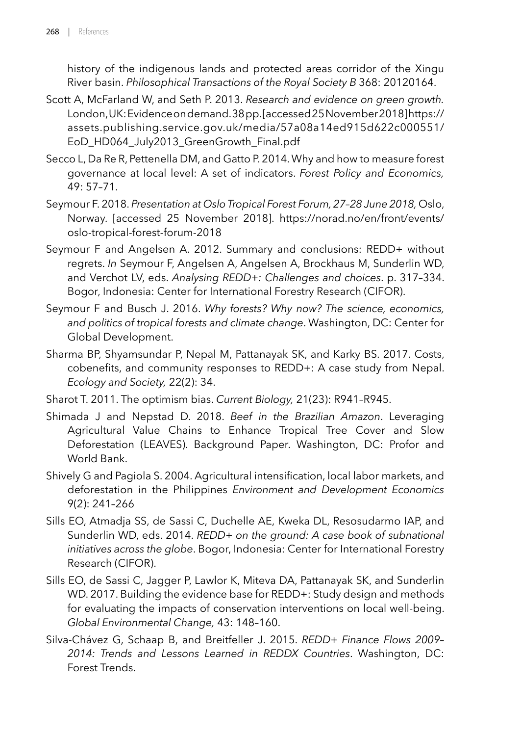history of the indigenous lands and protected areas corridor of the Xingu River basin. *Philosophical Transactions of the Royal Society B* 368: 20120164.

- Scott A, McFarland W, and Seth P. 2013. *Research and evidence on green growth.* London, UK: Evidence on demand. 38 pp. [accessed 25 November 2018] [https://](https://assets.publishing.service.gov.uk/media/57a08a14ed915d622c000551/EoD_HD064_July2013_GreenGrowth_Final.pdf) [assets.publishing.service.gov.uk/media/57a08a14ed915d622c000551/](https://assets.publishing.service.gov.uk/media/57a08a14ed915d622c000551/EoD_HD064_July2013_GreenGrowth_Final.pdf) [EoD\\_HD064\\_July2013\\_GreenGrowth\\_Final.pdf](https://assets.publishing.service.gov.uk/media/57a08a14ed915d622c000551/EoD_HD064_July2013_GreenGrowth_Final.pdf)
- Secco L, Da Re R, Pettenella DM, and Gatto P. 2014. Why and how to measure forest governance at local level: A set of indicators. *Forest Policy and Economics,* 49: 57–71.
- Seymour F. 2018. *Presentation at Oslo Tropical Forest Forum, 27–28 June 2018,* Oslo, Norway. [accessed 25 November 2018]. [https://norad.no/en/front/events/](https://norad.no/en/front/events/oslo-tropical-forest-forum-2018) [oslo-tropical-forest-forum-2018](https://norad.no/en/front/events/oslo-tropical-forest-forum-2018)
- Seymour F and Angelsen A. 2012. Summary and conclusions: REDD+ without regrets. *In* Seymour F, Angelsen A, Angelsen A, Brockhaus M, Sunderlin WD, and Verchot LV, eds. *Analysing REDD+: Challenges and choices*. p. 317–334. Bogor, Indonesia: Center for International Forestry Research (CIFOR).
- Seymour F and Busch J. 2016. *Why forests? Why now? The science, economics, and politics of tropical forests and climate change*. Washington, DC: Center for Global Development.
- Sharma BP, Shyamsundar P, Nepal M, Pattanayak SK, and Karky BS. 2017. Costs, cobenefits, and community responses to REDD+: A case study from Nepal. *Ecology and Society,* 22(2): 34.
- Sharot T. 2011. The optimism bias. *Current Biology,* 21(23): R941–R945.
- Shimada J and Nepstad D. 2018. *Beef in the Brazilian Amazon*. Leveraging Agricultural Value Chains to Enhance Tropical Tree Cover and Slow Deforestation (LEAVES). Background Paper. Washington, DC: Profor and World Bank.
- Shively G and Pagiola S. 2004. Agricultural intensification, local labor markets, and deforestation in the Philippines *Environment and Development Economics*  9(2): 241–266
- Sills EO, Atmadja SS, de Sassi C, Duchelle AE, Kweka DL, Resosudarmo IAP, and Sunderlin WD, eds. 2014. *REDD+ on the ground: A case book of subnational initiatives across the globe*. Bogor, Indonesia: Center for International Forestry Research (CIFOR).
- Sills EO, de Sassi C, Jagger P, Lawlor K, Miteva DA, Pattanayak SK, and Sunderlin WD. 2017. Building the evidence base for REDD+: Study design and methods for evaluating the impacts of conservation interventions on local well-being. *Global Environmental Change,* 43: 148–160.
- Silva-Chávez G, Schaap B, and Breitfeller J. 2015. *REDD+ Finance Flows 2009– 2014: Trends and Lessons Learned in REDDX Countries*. Washington, DC: Forest Trends.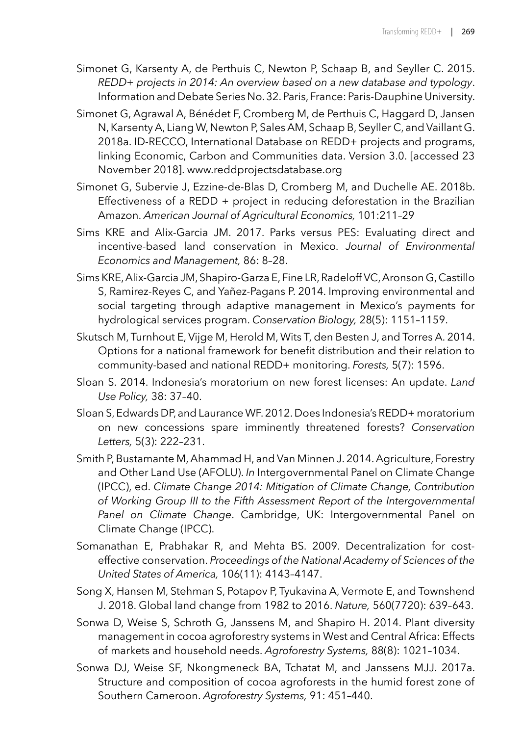- Simonet G, Karsenty A, de Perthuis C, Newton P, Schaap B, and Seyller C. 2015. *REDD+ projects in 2014: An overview based on a new database and typology*. Information and Debate Series No. 32. Paris, France: Paris-Dauphine University.
- Simonet G, Agrawal A, Bénédet F, Cromberg M, de Perthuis C, Haggard D, Jansen N, Karsenty A, Liang W, Newton P, Sales AM, Schaap B, Seyller C, and Vaillant G. 2018a. ID-RECCO, International Database on REDD+ projects and programs, linking Economic, Carbon and Communities data. Version 3.0. [accessed 23 November 2018].<www.reddprojectsdatabase.org>
- Simonet G, Subervie J, Ezzine-de-Blas D, Cromberg M, and Duchelle AE. 2018b. Effectiveness of a REDD + project in reducing deforestation in the Brazilian Amazon. *American Journal of Agricultural Economics,* 101:211–29
- Sims KRE and Alix-Garcia JM. 2017. Parks versus PES: Evaluating direct and incentive-based land conservation in Mexico. *Journal of Environmental Economics and Management,* 86: 8–28.
- Sims KRE, Alix-Garcia JM, Shapiro-Garza E, Fine LR, Radeloff VC, Aronson G, Castillo S, Ramirez-Reyes C, and Yañez-Pagans P. 2014. Improving environmental and social targeting through adaptive management in Mexico's payments for hydrological services program. *Conservation Biology,* 28(5): 1151–1159.
- Skutsch M, Turnhout E, Vijge M, Herold M, Wits T, den Besten J, and Torres A. 2014. Options for a national framework for benefit distribution and their relation to community-based and national REDD+ monitoring. *Forests,* 5(7): 1596.
- Sloan S. 2014. Indonesia's moratorium on new forest licenses: An update. *Land Use Policy,* 38: 37–40.
- Sloan S, Edwards DP, and Laurance WF. 2012. Does Indonesia's REDD+ moratorium on new concessions spare imminently threatened forests? *Conservation Letters,* 5(3): 222–231.
- Smith P, Bustamante M, Ahammad H, and Van Minnen J. 2014. Agriculture, Forestry and Other Land Use (AFOLU). *In* Intergovernmental Panel on Climate Change (IPCC), ed. *Climate Change 2014: Mitigation of Climate Change, Contribution of Working Group III to the Fifth Assessment Report of the Intergovernmental Panel on Climate Change*. Cambridge, UK: Intergovernmental Panel on Climate Change (IPCC).
- Somanathan E, Prabhakar R, and Mehta BS. 2009. Decentralization for costeffective conservation. *Proceedings of the National Academy of Sciences of the United States of America,* 106(11): 4143–4147.
- Song X, Hansen M, Stehman S, Potapov P, Tyukavina A, Vermote E, and Townshend J. 2018. Global land change from 1982 to 2016. *Nature,* 560(7720): 639–643.
- Sonwa D, Weise S, Schroth G, Janssens M, and Shapiro H. 2014. Plant diversity management in cocoa agroforestry systems in West and Central Africa: Effects of markets and household needs. *Agroforestry Systems,* 88(8): 1021–1034.
- Sonwa DJ, Weise SF, Nkongmeneck BA, Tchatat M, and Janssens MJJ. 2017a. Structure and composition of cocoa agroforests in the humid forest zone of Southern Cameroon. *Agroforestry Systems,* 91: 451–440.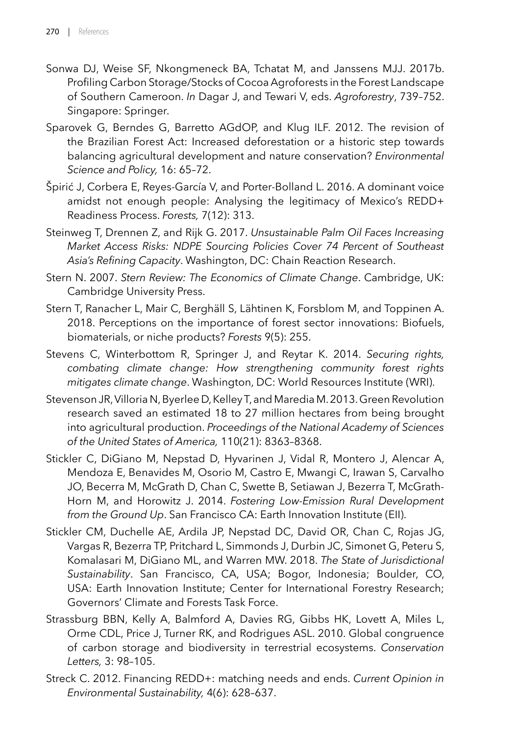- Sonwa DJ, Weise SF, Nkongmeneck BA, Tchatat M, and Janssens MJJ. 2017b. Profiling Carbon Storage/Stocks of Cocoa Agroforests in the Forest Landscape of Southern Cameroon. *In* Dagar J, and Tewari V, eds. *Agroforestry*, 739–752. Singapore: Springer.
- Sparovek G, Berndes G, Barretto AGdOP, and Klug ILF. 2012. The revision of the Brazilian Forest Act: Increased deforestation or a historic step towards balancing agricultural development and nature conservation? *Environmental Science and Policy,* 16: 65–72.
- Špirić J, Corbera E, Reyes-García V, and Porter-Bolland L. 2016. A dominant voice amidst not enough people: Analysing the legitimacy of Mexico's REDD+ Readiness Process. *Forests,* 7(12): 313.
- Steinweg T, Drennen Z, and Rijk G. 2017. *Unsustainable Palm Oil Faces Increasing Market Access Risks: NDPE Sourcing Policies Cover 74 Percent of Southeast Asia's Refining Capacity*. Washington, DC: Chain Reaction Research.
- Stern N. 2007. *Stern Review: The Economics of Climate Change*. Cambridge, UK: Cambridge University Press.
- Stern T, Ranacher L, Mair C, Berghäll S, Lähtinen K, Forsblom M, and Toppinen A. 2018. Perceptions on the importance of forest sector innovations: Biofuels, biomaterials, or niche products? *Forests* 9(5): 255.
- Stevens C, Winterbottom R, Springer J, and Reytar K. 2014. *Securing rights, combating climate change: How strengthening community forest rights mitigates climate change*. Washington, DC: World Resources Institute (WRI).
- Stevenson JR, Villoria N, Byerlee D, Kelley T, and Maredia M. 2013. Green Revolution research saved an estimated 18 to 27 million hectares from being brought into agricultural production. *Proceedings of the National Academy of Sciences of the United States of America,* 110(21): 8363–8368.
- Stickler C, DiGiano M, Nepstad D, Hyvarinen J, Vidal R, Montero J, Alencar A, Mendoza E, Benavides M, Osorio M, Castro E, Mwangi C, Irawan S, Carvalho JO, Becerra M, McGrath D, Chan C, Swette B, Setiawan J, Bezerra T, McGrath-Horn M, and Horowitz J. 2014. *Fostering Low-Emission Rural Development from the Ground Up*. San Francisco CA: Earth Innovation Institute (EII).
- Stickler CM, Duchelle AE, Ardila JP, Nepstad DC, David OR, Chan C, Rojas JG, Vargas R, Bezerra TP, Pritchard L, Simmonds J, Durbin JC, Simonet G, Peteru S, Komalasari M, DiGiano ML, and Warren MW. 2018. *The State of Jurisdictional Sustainability*. San Francisco, CA, USA; Bogor, Indonesia; Boulder, CO, USA: Earth Innovation Institute; Center for International Forestry Research; Governors' Climate and Forests Task Force.
- Strassburg BBN, Kelly A, Balmford A, Davies RG, Gibbs HK, Lovett A, Miles L, Orme CDL, Price J, Turner RK, and Rodrigues ASL. 2010. Global congruence of carbon storage and biodiversity in terrestrial ecosystems. *Conservation Letters,* 3: 98–105.
- Streck C. 2012. Financing REDD+: matching needs and ends. *Current Opinion in Environmental Sustainability,* 4(6): 628–637.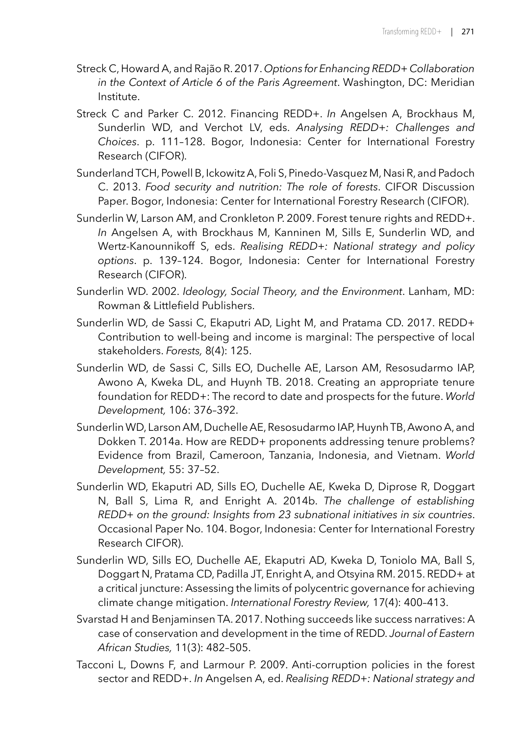- Streck C, Howard A, and Rajão R. 2017. *Options for Enhancing REDD+ Collaboration in the Context of Article 6 of the Paris Agreement*. Washington, DC: Meridian Institute.
- Streck C and Parker C. 2012. Financing REDD+. *In* Angelsen A, Brockhaus M, Sunderlin WD, and Verchot LV, eds. *Analysing REDD+: Challenges and Choices*. p. 111–128. Bogor, Indonesia: Center for International Forestry Research (CIFOR).
- Sunderland TCH, Powell B, Ickowitz A, Foli S, Pinedo-Vasquez M, Nasi R, and Padoch C. 2013. *Food security and nutrition: The role of forests*. CIFOR Discussion Paper. Bogor, Indonesia: Center for International Forestry Research (CIFOR).
- Sunderlin W, Larson AM, and Cronkleton P. 2009. Forest tenure rights and REDD+. *In* Angelsen A, with Brockhaus M, Kanninen M, Sills E, Sunderlin WD, and Wertz-Kanounnikoff S, eds. *Realising REDD+: National strategy and policy options*. p. 139–124. Bogor, Indonesia: Center for International Forestry Research (CIFOR).
- Sunderlin WD. 2002. *Ideology, Social Theory, and the Environment*. Lanham, MD: Rowman & Littlefield Publishers.
- Sunderlin WD, de Sassi C, Ekaputri AD, Light M, and Pratama CD. 2017. REDD+ Contribution to well-being and income is marginal: The perspective of local stakeholders. *Forests,* 8(4): 125.
- Sunderlin WD, de Sassi C, Sills EO, Duchelle AE, Larson AM, Resosudarmo IAP, Awono A, Kweka DL, and Huynh TB. 2018. Creating an appropriate tenure foundation for REDD+: The record to date and prospects for the future. *World Development,* 106: 376–392.
- Sunderlin WD, Larson AM, Duchelle AE, Resosudarmo IAP, Huynh TB, Awono A, and Dokken T. 2014a. How are REDD+ proponents addressing tenure problems? Evidence from Brazil, Cameroon, Tanzania, Indonesia, and Vietnam. *World Development,* 55: 37–52.
- Sunderlin WD, Ekaputri AD, Sills EO, Duchelle AE, Kweka D, Diprose R, Doggart N, Ball S, Lima R, and Enright A. 2014b. *The challenge of establishing REDD+ on the ground: Insights from 23 subnational initiatives in six countries*. Occasional Paper No. 104. Bogor, Indonesia: Center for International Forestry Research CIFOR).
- Sunderlin WD, Sills EO, Duchelle AE, Ekaputri AD, Kweka D, Toniolo MA, Ball S, Doggart N, Pratama CD, Padilla JT, Enright A, and Otsyina RM. 2015. REDD+ at a critical juncture: Assessing the limits of polycentric governance for achieving climate change mitigation. *International Forestry Review,* 17(4): 400–413.
- Svarstad H and Benjaminsen TA. 2017. Nothing succeeds like success narratives: A case of conservation and development in the time of REDD. *Journal of Eastern African Studies,* 11(3): 482–505.
- Tacconi L, Downs F, and Larmour P. 2009. Anti-corruption policies in the forest sector and REDD+. *In* Angelsen A, ed. *Realising REDD+: National strategy and*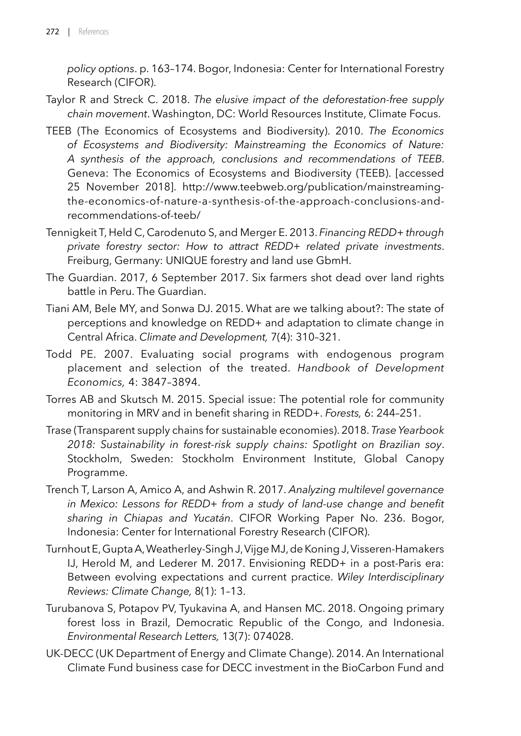*policy options*. p. 163–174. Bogor, Indonesia: Center for International Forestry Research (CIFOR).

- Taylor R and Streck C. 2018. *The elusive impact of the deforestation-free supply chain movement*. Washington, DC: World Resources Institute, Climate Focus.
- TEEB (The Economics of Ecosystems and Biodiversity). 2010. *The Economics of Ecosystems and Biodiversity: Mainstreaming the Economics of Nature: A synthesis of the approach, conclusions and recommendations of TEEB*. Geneva: The Economics of Ecosystems and Biodiversity (TEEB). [accessed 25 November 2018]. [http://www.teebweb.org/publication/mainstreaming](http://www.teebweb.org/publication/mainstreaming-the-economics-of-nature-a-synthesis-of-the-approach-conclusions-and-recommendations-of-teeb/)[the-economics-of-nature-a-synthesis-of-the-approach-conclusions-and](http://www.teebweb.org/publication/mainstreaming-the-economics-of-nature-a-synthesis-of-the-approach-conclusions-and-recommendations-of-teeb/)[recommendations-of-teeb/](http://www.teebweb.org/publication/mainstreaming-the-economics-of-nature-a-synthesis-of-the-approach-conclusions-and-recommendations-of-teeb/)
- Tennigkeit T, Held C, Carodenuto S, and Merger E. 2013. *Financing REDD+ through private forestry sector: How to attract REDD+ related private investments*. Freiburg, Germany: UNIQUE forestry and land use GbmH.
- The Guardian. 2017, 6 September 2017. Six farmers shot dead over land rights battle in Peru. The Guardian.
- Tiani AM, Bele MY, and Sonwa DJ. 2015. What are we talking about?: The state of perceptions and knowledge on REDD+ and adaptation to climate change in Central Africa. *Climate and Development,* 7(4): 310–321.
- Todd PE. 2007. Evaluating social programs with endogenous program placement and selection of the treated. *Handbook of Development Economics,* 4: 3847–3894.
- Torres AB and Skutsch M. 2015. Special issue: The potential role for community monitoring in MRV and in benefit sharing in REDD+. *Forests,* 6: 244–251.
- Trase (Transparent supply chains for sustainable economies). 2018. *Trase Yearbook 2018: Sustainability in forest-risk supply chains: Spotlight on Brazilian soy*. Stockholm, Sweden: Stockholm Environment Institute, Global Canopy Programme.
- Trench T, Larson A, Amico A, and Ashwin R. 2017. *Analyzing multilevel governance in Mexico: Lessons for REDD+ from a study of land-use change and benefit sharing in Chiapas and Yucatán*. CIFOR Working Paper No. 236. Bogor, Indonesia: Center for International Forestry Research (CIFOR).
- Turnhout E, Gupta A, Weatherley-Singh J, Vijge MJ, de Koning J, Visseren-Hamakers IJ, Herold M, and Lederer M. 2017. Envisioning REDD+ in a post-Paris era: Between evolving expectations and current practice. *Wiley Interdisciplinary Reviews: Climate Change,* 8(1): 1–13.
- Turubanova S, Potapov PV, Tyukavina A, and Hansen MC. 2018. Ongoing primary forest loss in Brazil, Democratic Republic of the Congo, and Indonesia. *Environmental Research Letters,* 13(7): 074028.
- UK-DECC (UK Department of Energy and Climate Change). 2014. An International Climate Fund business case for DECC investment in the BioCarbon Fund and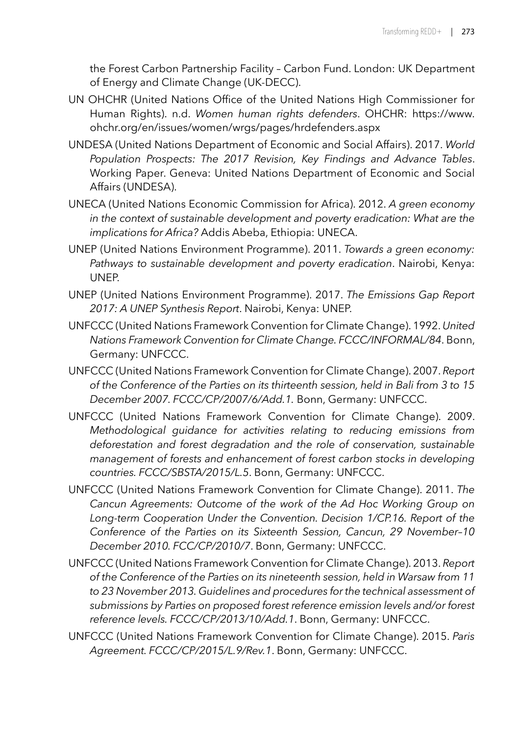the Forest Carbon Partnership Facility – Carbon Fund. London: UK Department of Energy and Climate Change (UK-DECC).

- UN OHCHR (United Nations Office of the United Nations High Commissioner for Human Rights). n.d. *Women human rights defenders*. OHCHR: [https://www.](https://www.ohchr.org/en/issues/women/wrgs/pages/hrdefenders.aspx) [ohchr.org/en/issues/women/wrgs/pages/hrdefenders.aspx](https://www.ohchr.org/en/issues/women/wrgs/pages/hrdefenders.aspx)
- UNDESA (United Nations Department of Economic and Social Affairs). 2017. *World Population Prospects: The 2017 Revision, Key Findings and Advance Tables*. Working Paper. Geneva: United Nations Department of Economic and Social Affairs (UNDESA).
- UNECA (United Nations Economic Commission for Africa). 2012. *A green economy*  in the context of sustainable development and poverty eradication: What are the *implications for Africa?* Addis Abeba, Ethiopia: UNECA.
- UNEP (United Nations Environment Programme). 2011. *Towards a green economy: Pathways to sustainable development and poverty eradication*. Nairobi, Kenya: UNEP.
- UNEP (United Nations Environment Programme). 2017. *The Emissions Gap Report 2017: A UNEP Synthesis Report*. Nairobi, Kenya: UNEP.
- UNFCCC (United Nations Framework Convention for Climate Change). 1992. *United Nations Framework Convention for Climate Change. FCCC/INFORMAL/84*. Bonn, Germany: UNFCCC.
- UNFCCC (United Nations Framework Convention for Climate Change). 2007. *Report of the Conference of the Parties on its thirteenth session, held in Bali from 3 to 15 December 2007. FCCC/CP/2007/6/Add.1.* Bonn, Germany: UNFCCC.
- UNFCCC (United Nations Framework Convention for Climate Change). 2009. *Methodological guidance for activities relating to reducing emissions from deforestation and forest degradation and the role of conservation, sustainable management of forests and enhancement of forest carbon stocks in developing countries. FCCC/SBSTA/2015/L.5*. Bonn, Germany: UNFCCC.
- UNFCCC (United Nations Framework Convention for Climate Change). 2011. *The Cancun Agreements: Outcome of the work of the Ad Hoc Working Group on Long-term Cooperation Under the Convention. Decision 1/CP.16. Report of the Conference of the Parties on its Sixteenth Session, Cancun, 29 November–10 December 2010. FCC/CP/2010/7*. Bonn, Germany: UNFCCC.
- UNFCCC (United Nations Framework Convention for Climate Change). 2013. *Report of the Conference of the Parties on its nineteenth session, held in Warsaw from 11 to 23 November 2013. Guidelines and procedures for the technical assessment of submissions by Parties on proposed forest reference emission levels and/or forest reference levels. FCCC/CP/2013/10/Add.1*. Bonn, Germany: UNFCCC.
- UNFCCC (United Nations Framework Convention for Climate Change). 2015. *Paris Agreement. FCCC/CP/2015/L.9/Rev.1*. Bonn, Germany: UNFCCC.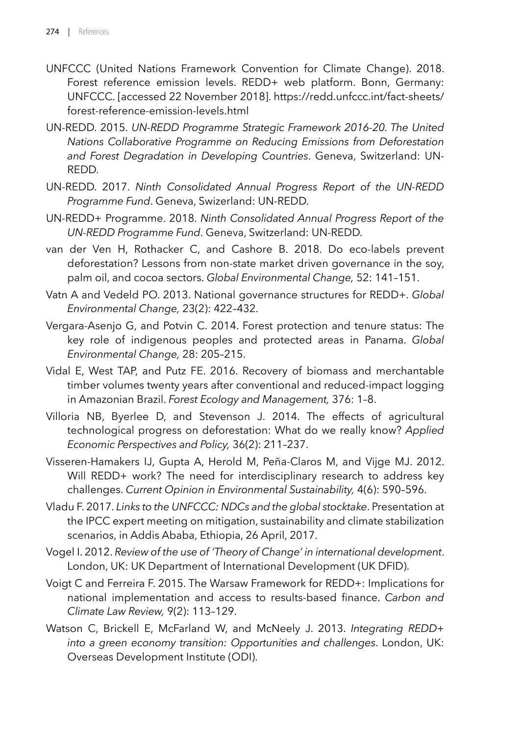- UNFCCC (United Nations Framework Convention for Climate Change). 2018. Forest reference emission levels. REDD+ web platform. Bonn, Germany: UNFCCC. [accessed 22 November 2018]. [https://redd.unfccc.int/fact-sheets/](https://redd.unfccc.int/fact-sheets/forest-reference-emission-levels.html) [forest-reference-emission-levels.html](https://redd.unfccc.int/fact-sheets/forest-reference-emission-levels.html)
- UN-REDD. 2015. *UN-REDD Programme Strategic Framework 2016-20. The United Nations Collaborative Programme on Reducing Emissions from Deforestation and Forest Degradation in Developing Countries*. Geneva, Switzerland: UN-REDD.
- UN-REDD. 2017. *Ninth Consolidated Annual Progress Report of the UN-REDD Programme Fund*. Geneva, Swizerland: UN-REDD.
- UN-REDD+ Programme. 2018. *Ninth Consolidated Annual Progress Report of the UN-REDD Programme Fund*. Geneva, Switzerland: UN-REDD.
- van der Ven H, Rothacker C, and Cashore B. 2018. Do eco-labels prevent deforestation? Lessons from non-state market driven governance in the soy, palm oil, and cocoa sectors. *Global Environmental Change,* 52: 141–151.
- Vatn A and Vedeld PO. 2013. National governance structures for REDD+. *Global Environmental Change,* 23(2): 422–432.
- Vergara-Asenjo G, and Potvin C. 2014. Forest protection and tenure status: The key role of indigenous peoples and protected areas in Panama. *Global Environmental Change,* 28: 205–215.
- Vidal E, West TAP, and Putz FE. 2016. Recovery of biomass and merchantable timber volumes twenty years after conventional and reduced-impact logging in Amazonian Brazil. *Forest Ecology and Management,* 376: 1–8.
- Villoria NB, Byerlee D, and Stevenson J. 2014. The effects of agricultural technological progress on deforestation: What do we really know? *Applied Economic Perspectives and Policy,* 36(2): 211–237.
- Visseren-Hamakers IJ, Gupta A, Herold M, Peña-Claros M, and Vijge MJ. 2012. Will REDD+ work? The need for interdisciplinary research to address key challenges. *Current Opinion in Environmental Sustainability,* 4(6): 590–596.
- Vladu F. 2017. *Links to the UNFCCC: NDCs and the global stocktake*. Presentation at the IPCC expert meeting on mitigation, sustainability and climate stabilization scenarios, in Addis Ababa, Ethiopia, 26 April, 2017.
- Vogel I. 2012. *Review of the use of 'Theory of Change' in international development*. London, UK: UK Department of International Development (UK DFID).
- Voigt C and Ferreira F. 2015. The Warsaw Framework for REDD+: Implications for national implementation and access to results-based finance. *Carbon and Climate Law Review,* 9(2): 113–129.
- Watson C, Brickell E, McFarland W, and McNeely J. 2013. *Integrating REDD+ into a green economy transition: Opportunities and challenges*. London, UK: Overseas Development Institute (ODI).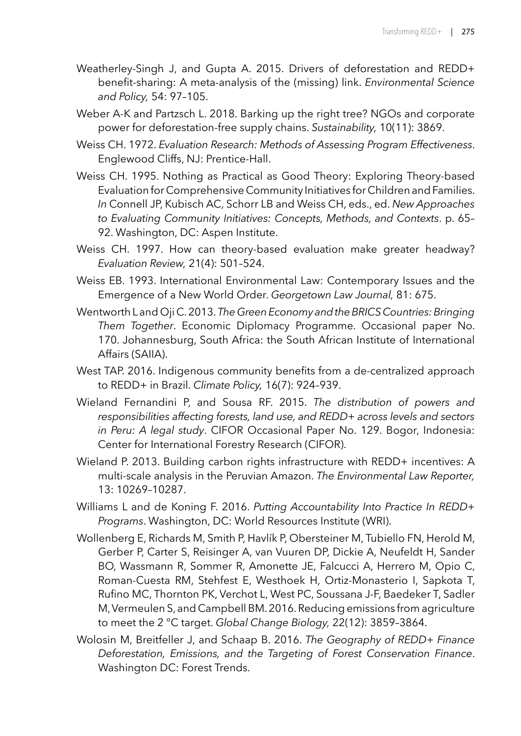- Weatherley-Singh J, and Gupta A. 2015. Drivers of deforestation and REDD+ benefit-sharing: A meta-analysis of the (missing) link. *Environmental Science and Policy,* 54: 97–105.
- Weber A-K and Partzsch L. 2018. Barking up the right tree? NGOs and corporate power for deforestation-free supply chains. *Sustainability,* 10(11): 3869.
- Weiss CH. 1972. *Evaluation Research: Methods of Assessing Program Effectiveness*. Englewood Cliffs, NJ: Prentice-Hall.
- Weiss CH. 1995. Nothing as Practical as Good Theory: Exploring Theory-based Evaluation for Comprehensive Community Initiatives for Children and Families. *In* Connell JP, Kubisch AC, Schorr LB and Weiss CH, eds., ed. *New Approaches to Evaluating Community Initiatives: Concepts, Methods, and Contexts*. p. 65– 92. Washington, DC: Aspen Institute.
- Weiss CH. 1997. How can theory-based evaluation make greater headway? *Evaluation Review,* 21(4): 501–524.
- Weiss EB. 1993. International Environmental Law: Contemporary Issues and the Emergence of a New World Order. *Georgetown Law Journal,* 81: 675.
- Wentworth L and Oji C. 2013. *The Green Economy and the BRICS Countries: Bringing Them Together*. Economic Diplomacy Programme. Occasional paper No. 170. Johannesburg, South Africa: the South African Institute of International Affairs (SAIIA).
- West TAP. 2016. Indigenous community benefits from a de-centralized approach to REDD+ in Brazil. *Climate Policy,* 16(7): 924–939.
- Wieland Fernandini P, and Sousa RF. 2015. *The distribution of powers and responsibilities affecting forests, land use, and REDD+ across levels and sectors in Peru: A legal study*. CIFOR Occasional Paper No. 129. Bogor, Indonesia: Center for International Forestry Research (CIFOR).
- Wieland P. 2013. Building carbon rights infrastructure with REDD+ incentives: A multi-scale analysis in the Peruvian Amazon. *The Environmental Law Reporter,* 13: 10269–10287.
- Williams L and de Koning F. 2016. *Putting Accountability Into Practice In REDD+ Programs*. Washington, DC: World Resources Institute (WRI).
- Wollenberg E, Richards M, Smith P, Havlík P, Obersteiner M, Tubiello FN, Herold M, Gerber P, Carter S, Reisinger A, van Vuuren DP, Dickie A, Neufeldt H, Sander BO, Wassmann R, Sommer R, Amonette JE, Falcucci A, Herrero M, Opio C, Roman-Cuesta RM, Stehfest E, Westhoek H, Ortiz-Monasterio I, Sapkota T, Rufino MC, Thornton PK, Verchot L, West PC, Soussana J-F, Baedeker T, Sadler M, Vermeulen S, and Campbell BM. 2016. Reducing emissions from agriculture to meet the 2 °C target. *Global Change Biology,* 22(12): 3859–3864.
- Wolosin M, Breitfeller J, and Schaap B. 2016. *The Geography of REDD+ Finance Deforestation, Emissions, and the Targeting of Forest Conservation Finance*. Washington DC: Forest Trends.